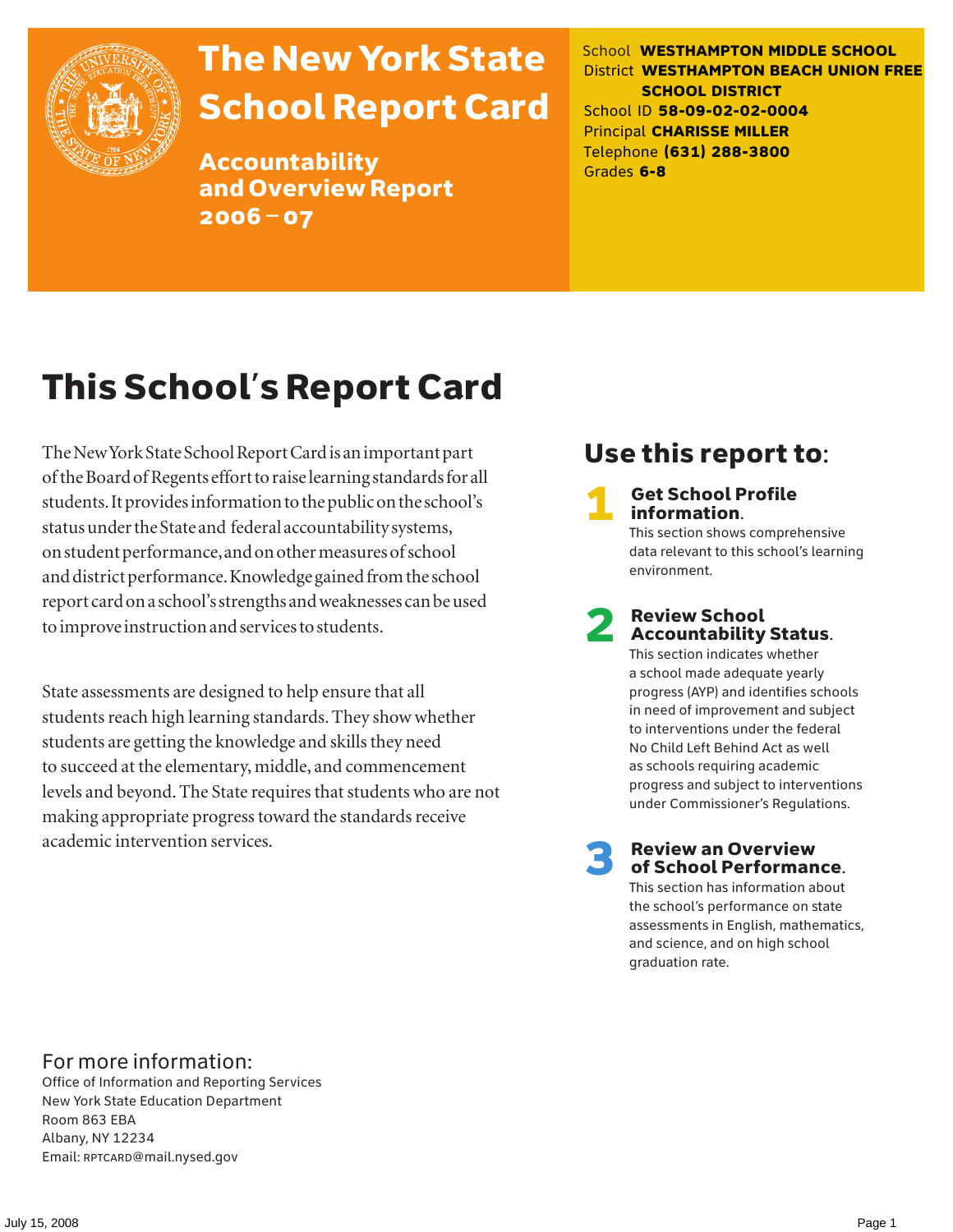

# The New York State School Report Card

Accountability and Overview Report 2006–07

School **WESTHAMPTON MIDDLE SCHOOL** District **WESTHAMPTON BEACH UNION FREE SCHOOL DISTRICT** School ID **58-09-02-02-0004** Principal **CHARISSE MILLER** Telephone **(631) 288-3800** Grades **6-8**

# This School's Report Card

The New York State School Report Card is an important part of the Board of Regents effort to raise learning standards for all students. It provides information to the public on the school's status under the State and federal accountability systems, on student performance, and on other measures of school and district performance. Knowledge gained from the school report card on a school's strengths and weaknesses can be used to improve instruction and services to students.

State assessments are designed to help ensure that all students reach high learning standards. They show whether students are getting the knowledge and skills they need to succeed at the elementary, middle, and commencement levels and beyond. The State requires that students who are not making appropriate progress toward the standards receive academic intervention services.

### Use this report to:

**Get School Profile** information.

This section shows comprehensive data relevant to this school's learning environment.

# 2 Review School Accountability Status.

This section indicates whether a school made adequate yearly progress (AYP) and identifies schools in need of improvement and subject to interventions under the federal No Child Left Behind Act as well as schools requiring academic progress and subject to interventions under Commissioner's Regulations.

**Review an Overview** of School Performance.

This section has information about the school's performance on state assessments in English, mathematics, and science, and on high school graduation rate.

### For more information:

Office of Information and Reporting Services New York State Education Department Room 863 EBA Albany, NY 12234 Email: RPTCARD@mail.nysed.gov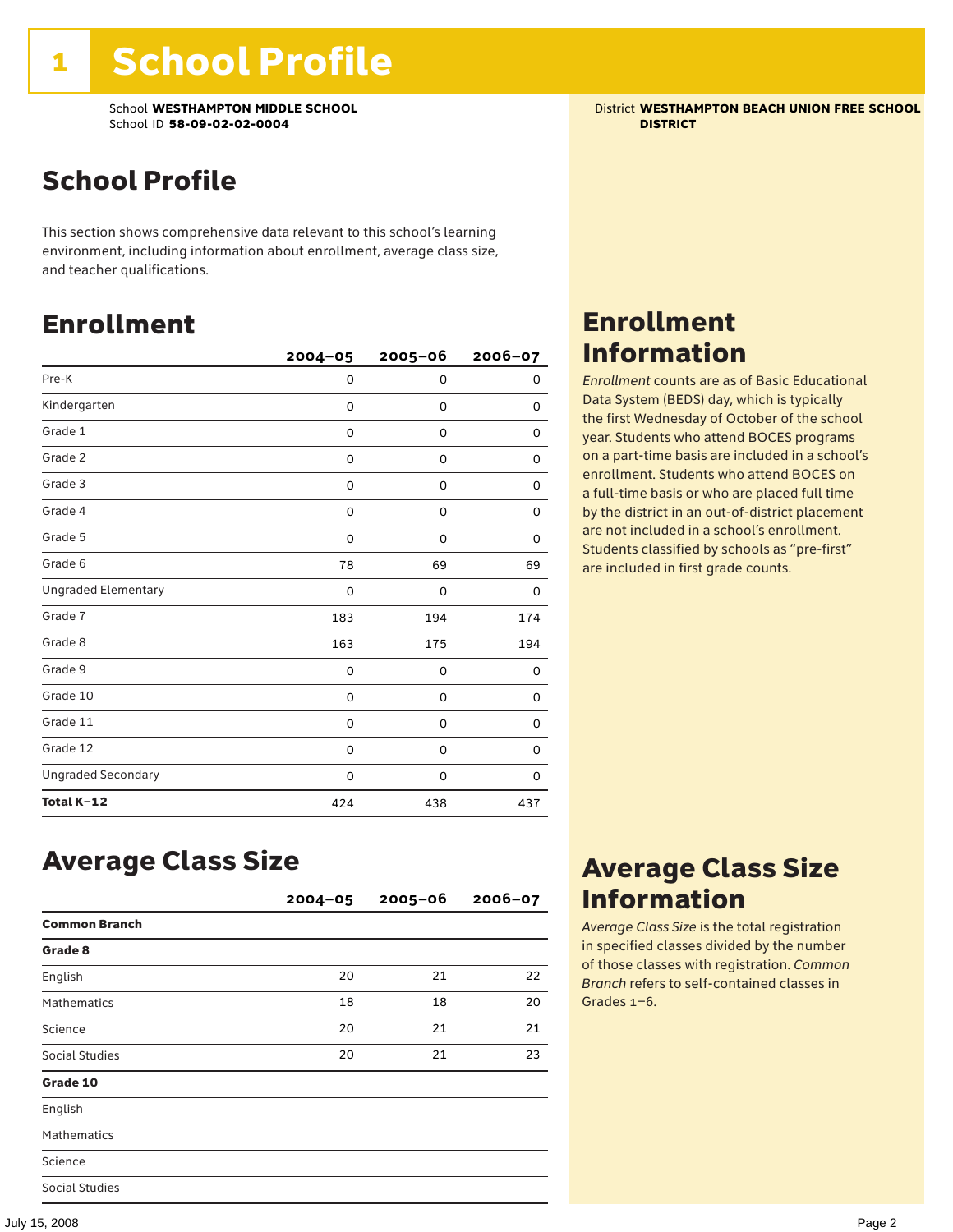School **WESTHAMPTON MIDDLE SCHOOL** District **WESTHAMPTON BEACH UNION FREE SCHOOL** School ID **58-09-02-02-0004 DISTRICT**

## School Profile

This section shows comprehensive data relevant to this school's learning environment, including information about enrollment, average class size, and teacher qualifications.

### Enrollment

|                            | $2004 - 05$ | $2005 - 06$ | 2006-07 |
|----------------------------|-------------|-------------|---------|
| Pre-K                      | 0           | 0           | 0       |
| Kindergarten               | 0           | 0           | 0       |
| Grade 1                    | 0           | 0           | 0       |
| Grade 2                    | 0           | 0           | 0       |
| Grade 3                    | 0           | 0           | 0       |
| Grade 4                    | 0           | 0           | 0       |
| Grade 5                    | 0           | 0           | 0       |
| Grade 6                    | 78          | 69          | 69      |
| <b>Ungraded Elementary</b> | $\Omega$    | 0           | 0       |
| Grade 7                    | 183         | 194         | 174     |
| Grade 8                    | 163         | 175         | 194     |
| Grade 9                    | 0           | 0           | 0       |
| Grade 10                   | 0           | 0           | 0       |
| Grade 11                   | 0           | 0           | 0       |
| Grade 12                   | 0           | 0           | 0       |
| <b>Ungraded Secondary</b>  | 0           | 0           | 0       |
| Total K-12                 | 424         | 438         | 437     |

### Enrollment Information

*Enrollment* counts are as of Basic Educational Data System (BEDS) day, which is typically the first Wednesday of October of the school year. Students who attend BOCES programs on a part-time basis are included in a school's enrollment. Students who attend BOCES on a full-time basis or who are placed full time by the district in an out-of-district placement are not included in a school's enrollment. Students classified by schools as "pre-first" are included in first grade counts.

### Average Class Size

|                      | $2004 - 05$ | $2005 - 06$ | $2006 - 07$ |
|----------------------|-------------|-------------|-------------|
| <b>Common Branch</b> |             |             |             |
| Grade 8              |             |             |             |
| English              | 20          | 21          | 22          |
| <b>Mathematics</b>   | 18          | 18          | 20          |
| Science              | 20          | 21          | 21          |
| Social Studies       | 20          | 21          | 23          |
| Grade 10             |             |             |             |
| English              |             |             |             |
| <b>Mathematics</b>   |             |             |             |
| Science              |             |             |             |
| Social Studies       |             |             |             |

### Average Class Size Information

*Average Class Size* is the total registration in specified classes divided by the number of those classes with registration. *Common Branch* refers to self-contained classes in Grades 1–6.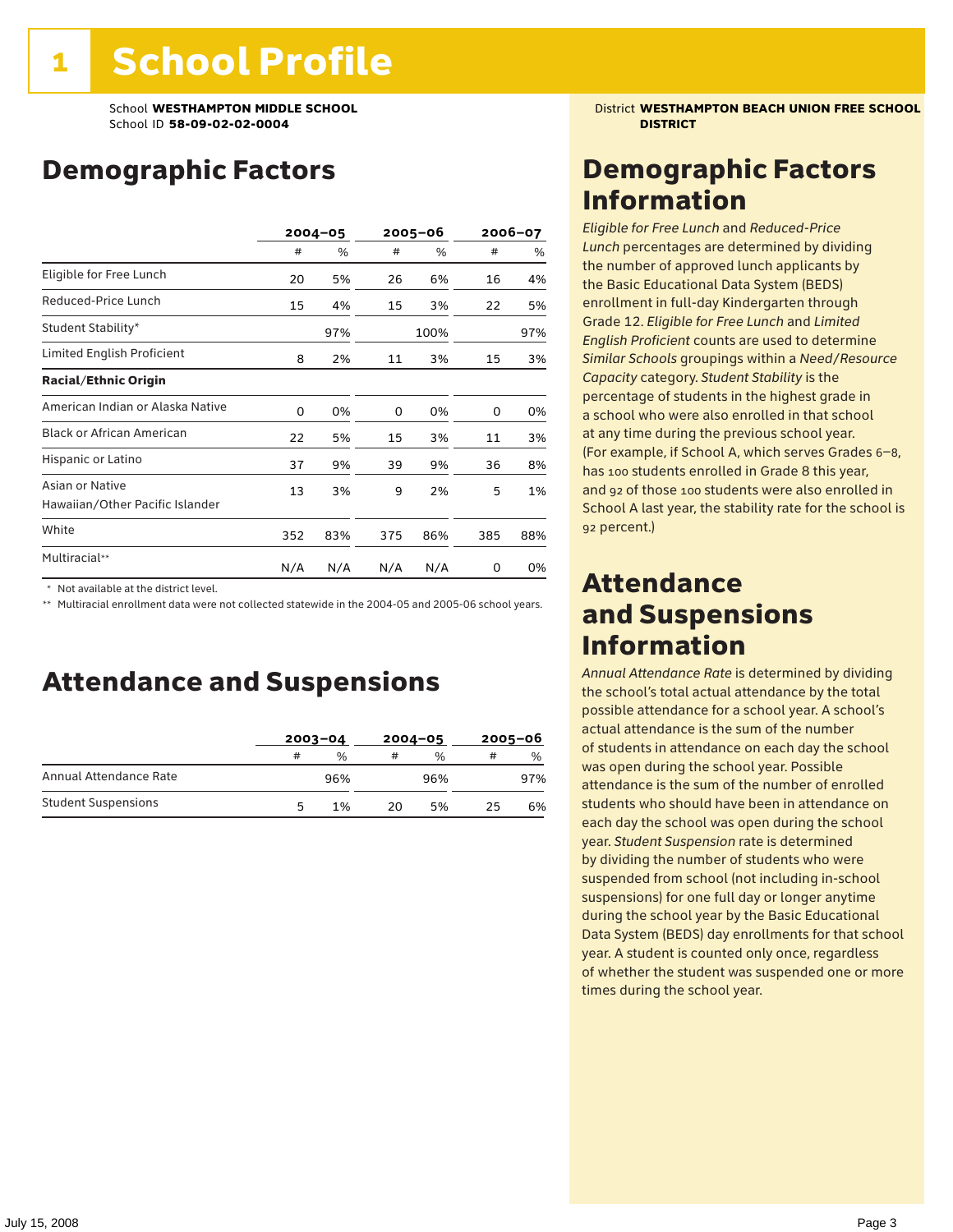### Demographic Factors

|                                                    | $2004 - 05$ |     | 2005–06 |      | 2006-07 |     |
|----------------------------------------------------|-------------|-----|---------|------|---------|-----|
|                                                    | #           | %   | #       | %    | #       | %   |
| Eligible for Free Lunch                            | 20          | 5%  | 26      | 6%   | 16      | 4%  |
| Reduced-Price Lunch                                | 15          | 4%  | 15      | 3%   | 22      | 5%  |
| Student Stability*                                 |             | 97% |         | 100% |         | 97% |
| Limited English Proficient                         | 8           | 2%  | 11      | 3%   | 15      | 3%  |
| <b>Racial/Ethnic Origin</b>                        |             |     |         |      |         |     |
| American Indian or Alaska Native                   | 0           | 0%  | 0       | 0%   | 0       | 0%  |
| <b>Black or African American</b>                   | 22          | 5%  | 15      | 3%   | 11      | 3%  |
| Hispanic or Latino                                 | 37          | 9%  | 39      | 9%   | 36      | 8%  |
| Asian or Native<br>Hawaiian/Other Pacific Islander | 13          | 3%  | 9       | 2%   | 5       | 1%  |
| White                                              | 352         | 83% | 375     | 86%  | 385     | 88% |
| Multiracial**                                      | N/A         | N/A | N/A     | N/A  | 0       | 0%  |

\* Not available at the district level.

\*\* Multiracial enrollment data were not collected statewide in the 2004-05 and 2005-06 school years.

### Attendance and Suspensions

|                            |   | $2003 - 04$ |    | $2004 - 05$   |    | $2005 - 06$   |  |
|----------------------------|---|-------------|----|---------------|----|---------------|--|
|                            | # | %           | #  | $\frac{0}{0}$ | #  | $\frac{0}{0}$ |  |
| Annual Attendance Rate     |   | 96%         |    | 96%           |    | 97%           |  |
| <b>Student Suspensions</b> | 5 | 1%          | 20 | 5%            | 25 | 6%            |  |

School **WESTHAMPTON MIDDLE SCHOOL** District **WESTHAMPTON BEACH UNION FREE SCHOOL**

### Demographic Factors Information

*Eligible for Free Lunch* and *Reduced*-*Price Lunch* percentages are determined by dividing the number of approved lunch applicants by the Basic Educational Data System (BEDS) enrollment in full-day Kindergarten through Grade 12. *Eligible for Free Lunch* and *Limited English Proficient* counts are used to determine *Similar Schools* groupings within a *Need*/*Resource Capacity* category. *Student Stability* is the percentage of students in the highest grade in a school who were also enrolled in that school at any time during the previous school year. (For example, if School A, which serves Grades 6–8, has 100 students enrolled in Grade 8 this year, and 92 of those 100 students were also enrolled in School A last year, the stability rate for the school is 92 percent.)

### Attendance and Suspensions Information

*Annual Attendance Rate* is determined by dividing the school's total actual attendance by the total possible attendance for a school year. A school's actual attendance is the sum of the number of students in attendance on each day the school was open during the school year. Possible attendance is the sum of the number of enrolled students who should have been in attendance on each day the school was open during the school year. *Student Suspension* rate is determined by dividing the number of students who were suspended from school (not including in-school suspensions) for one full day or longer anytime during the school year by the Basic Educational Data System (BEDS) day enrollments for that school year. A student is counted only once, regardless of whether the student was suspended one or more times during the school year.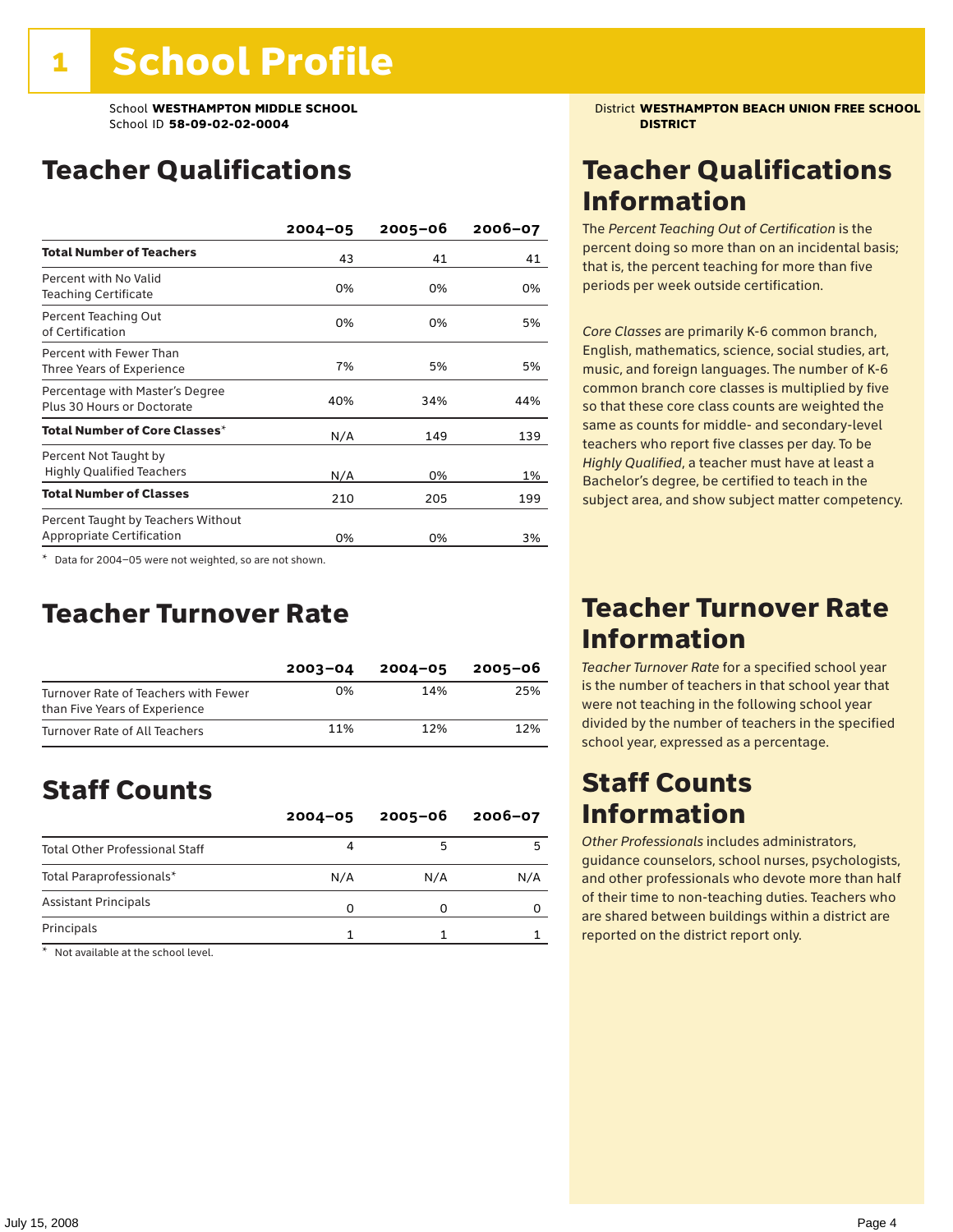### Teacher Qualifications

|                                                                 | $2004 - 05$ | $2005 - 06$ | $2006 - 07$ |
|-----------------------------------------------------------------|-------------|-------------|-------------|
| <b>Total Number of Teachers</b>                                 | 43          | 41          | 41          |
| Percent with No Valid<br><b>Teaching Certificate</b>            | 0%          | 0%          | 0%          |
| Percent Teaching Out<br>of Certification                        | 0%          | 0%          | 5%          |
| Percent with Fewer Than<br>Three Years of Experience            | 7%          | 5%          | 5%          |
| Percentage with Master's Degree<br>Plus 30 Hours or Doctorate   | 40%         | 34%         | 44%         |
| Total Number of Core Classes <sup>*</sup>                       | N/A         | 149         | 139         |
| Percent Not Taught by<br><b>Highly Qualified Teachers</b>       | N/A         | 0%          | 1%          |
| <b>Total Number of Classes</b>                                  | 210         | 205         | 199         |
| Percent Taught by Teachers Without<br>Appropriate Certification | 0%          | 0%          | 3%          |

\* Data for 2004–05 were not weighted, so are not shown.

### Teacher Turnover Rate

|                                                                       | $2003 - 04$ | $2004 - 05$ | 2005-06 |
|-----------------------------------------------------------------------|-------------|-------------|---------|
| Turnover Rate of Teachers with Fewer<br>than Five Years of Experience | በ%          | 14%         | 25%     |
| Turnover Rate of All Teachers                                         | 11%         | 12%         | 12%     |

### Staff Counts

|                                       | $2004 - 05$ | $2005 - 06$ | $2006 - 07$ |
|---------------------------------------|-------------|-------------|-------------|
| <b>Total Other Professional Staff</b> |             |             |             |
| Total Paraprofessionals*              | N/A         | N/A         | N/A         |
| <b>Assistant Principals</b>           |             |             |             |
| Principals                            |             |             |             |

\* Not available at the school level.

School **WESTHAMPTON MIDDLE SCHOOL** District **WESTHAMPTON BEACH UNION FREE SCHOOL**

### Teacher Qualifications Information

The *Percent Teaching Out of Certification* is the percent doing so more than on an incidental basis; that is, the percent teaching for more than five periods per week outside certification.

*Core Classes* are primarily K-6 common branch, English, mathematics, science, social studies, art, music, and foreign languages. The number of K-6 common branch core classes is multiplied by five so that these core class counts are weighted the same as counts for middle- and secondary-level teachers who report five classes per day. To be *Highly Qualified*, a teacher must have at least a Bachelor's degree, be certified to teach in the subject area, and show subject matter competency.

### Teacher Turnover Rate Information

*Teacher Turnover Rate* for a specified school year is the number of teachers in that school year that were not teaching in the following school year divided by the number of teachers in the specified school year, expressed as a percentage.

### Staff Counts Information

*Other Professionals* includes administrators, guidance counselors, school nurses, psychologists, and other professionals who devote more than half of their time to non-teaching duties. Teachers who are shared between buildings within a district are reported on the district report only.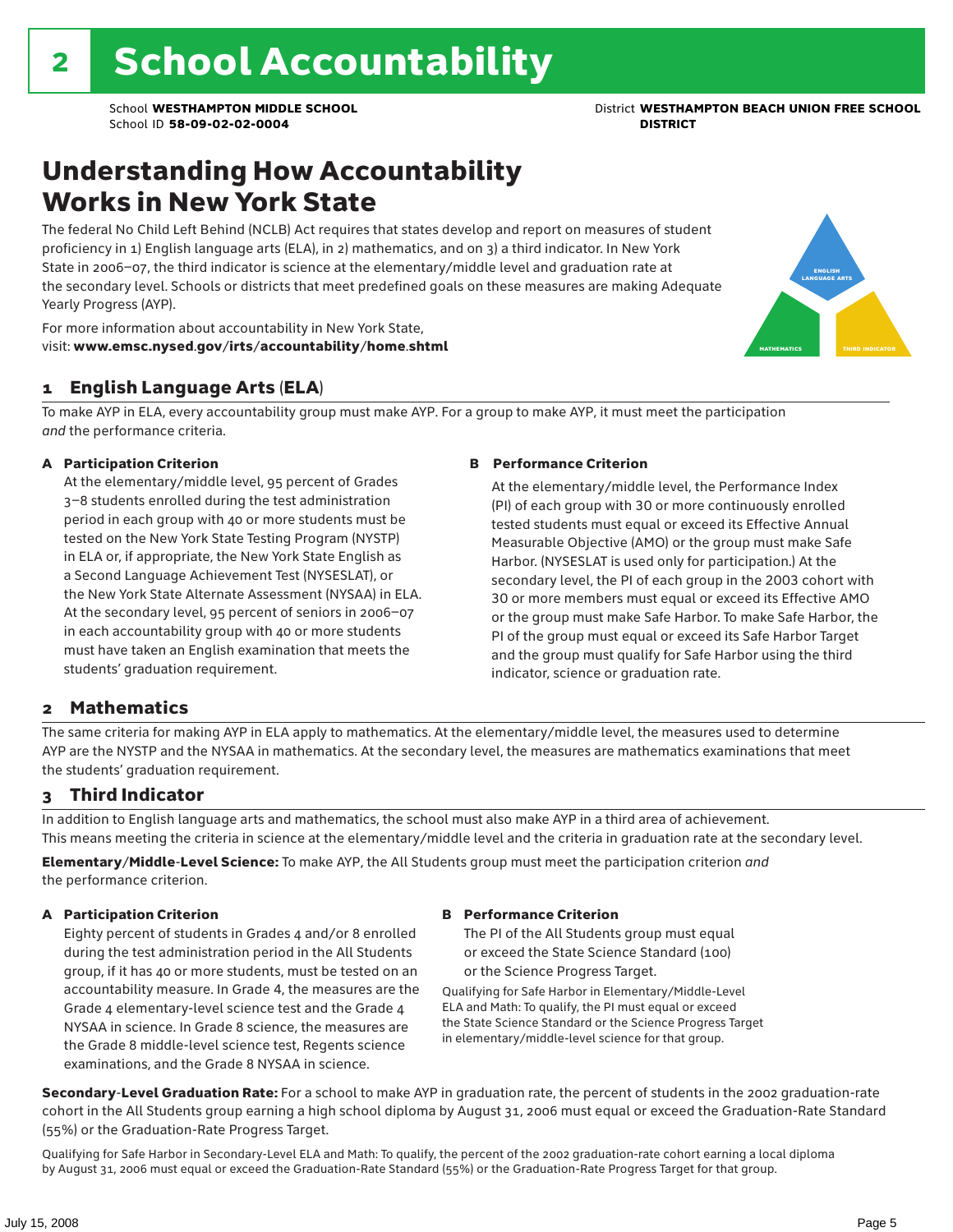### Understanding How Accountability Works in New York State

The federal No Child Left Behind (NCLB) Act requires that states develop and report on measures of student proficiency in 1) English language arts (ELA), in 2) mathematics, and on 3) a third indicator. In New York State in 2006–07, the third indicator is science at the elementary/middle level and graduation rate at the secondary level. Schools or districts that meet predefined goals on these measures are making Adequate Yearly Progress (AYP).



For more information about accountability in New York State, visit: www.emsc.nysed.gov/irts/accountability/home.shtml

#### 1 English Language Arts (ELA)

To make AYP in ELA, every accountability group must make AYP. For a group to make AYP, it must meet the participation *and* the performance criteria.

#### A Participation Criterion

At the elementary/middle level, 95 percent of Grades 3–8 students enrolled during the test administration period in each group with 40 or more students must be tested on the New York State Testing Program (NYSTP) in ELA or, if appropriate, the New York State English as a Second Language Achievement Test (NYSESLAT), or the New York State Alternate Assessment (NYSAA) in ELA. At the secondary level, 95 percent of seniors in 2006–07 in each accountability group with 40 or more students must have taken an English examination that meets the students' graduation requirement.

#### B Performance Criterion

At the elementary/middle level, the Performance Index (PI) of each group with 30 or more continuously enrolled tested students must equal or exceed its Effective Annual Measurable Objective (AMO) or the group must make Safe Harbor. (NYSESLAT is used only for participation.) At the secondary level, the PI of each group in the 2003 cohort with 30 or more members must equal or exceed its Effective AMO or the group must make Safe Harbor. To make Safe Harbor, the PI of the group must equal or exceed its Safe Harbor Target and the group must qualify for Safe Harbor using the third indicator, science or graduation rate.

#### 2 Mathematics

The same criteria for making AYP in ELA apply to mathematics. At the elementary/middle level, the measures used to determine AYP are the NYSTP and the NYSAA in mathematics. At the secondary level, the measures are mathematics examinations that meet the students' graduation requirement.

#### 3 Third Indicator

In addition to English language arts and mathematics, the school must also make AYP in a third area of achievement. This means meeting the criteria in science at the elementary/middle level and the criteria in graduation rate at the secondary level.

Elementary/Middle-Level Science: To make AYP, the All Students group must meet the participation criterion *and* the performance criterion.

#### A Participation Criterion

Eighty percent of students in Grades 4 and/or 8 enrolled during the test administration period in the All Students group, if it has 40 or more students, must be tested on an accountability measure. In Grade 4, the measures are the Grade 4 elementary-level science test and the Grade 4 NYSAA in science. In Grade 8 science, the measures are the Grade 8 middle-level science test, Regents science examinations, and the Grade 8 NYSAA in science.

#### B Performance Criterion

The PI of the All Students group must equal or exceed the State Science Standard (100) or the Science Progress Target.

Qualifying for Safe Harbor in Elementary/Middle-Level ELA and Math: To qualify, the PI must equal or exceed the State Science Standard or the Science Progress Target in elementary/middle-level science for that group.

Secondary-Level Graduation Rate: For a school to make AYP in graduation rate, the percent of students in the 2002 graduation-rate cohort in the All Students group earning a high school diploma by August 31, 2006 must equal or exceed the Graduation-Rate Standard (55%) or the Graduation-Rate Progress Target.

Qualifying for Safe Harbor in Secondary-Level ELA and Math: To qualify, the percent of the 2002 graduation-rate cohort earning a local diploma by August 31, 2006 must equal or exceed the Graduation-Rate Standard (55%) or the Graduation-Rate Progress Target for that group.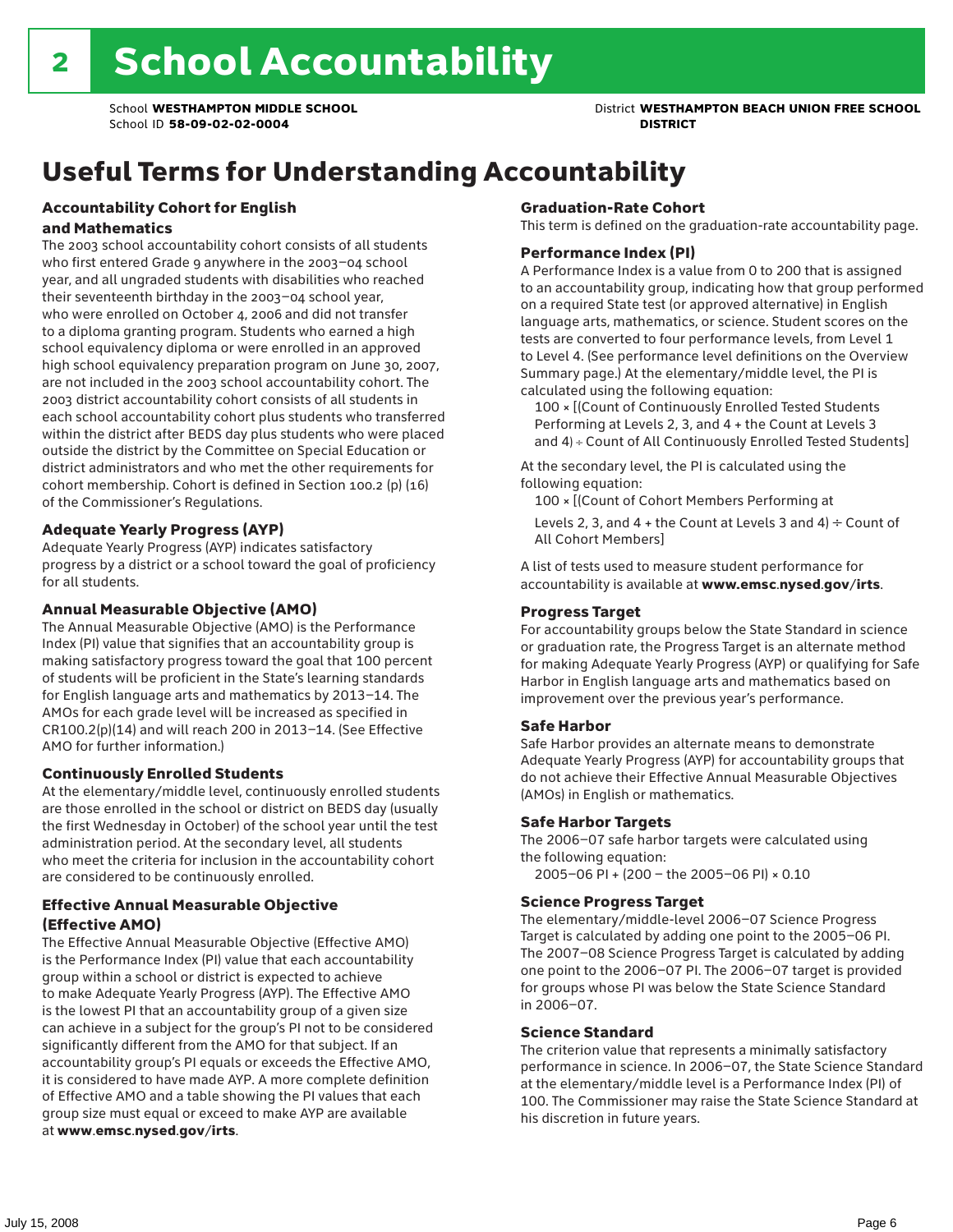## Useful Terms for Understanding Accountability

#### Accountability Cohort for English and Mathematics

The 2003 school accountability cohort consists of all students who first entered Grade 9 anywhere in the 2003–04 school year, and all ungraded students with disabilities who reached their seventeenth birthday in the 2003–04 school year, who were enrolled on October 4, 2006 and did not transfer to a diploma granting program. Students who earned a high school equivalency diploma or were enrolled in an approved high school equivalency preparation program on June 30, 2007, are not included in the 2003 school accountability cohort. The 2003 district accountability cohort consists of all students in each school accountability cohort plus students who transferred within the district after BEDS day plus students who were placed outside the district by the Committee on Special Education or district administrators and who met the other requirements for cohort membership. Cohort is defined in Section 100.2 (p) (16) of the Commissioner's Regulations.

#### Adequate Yearly Progress (AYP)

Adequate Yearly Progress (AYP) indicates satisfactory progress by a district or a school toward the goal of proficiency for all students.

#### Annual Measurable Objective (AMO)

The Annual Measurable Objective (AMO) is the Performance Index (PI) value that signifies that an accountability group is making satisfactory progress toward the goal that 100 percent of students will be proficient in the State's learning standards for English language arts and mathematics by 2013–14. The AMOs for each grade level will be increased as specified in CR100.2(p)(14) and will reach 200 in 2013–14. (See Effective AMO for further information.)

#### Continuously Enrolled Students

At the elementary/middle level, continuously enrolled students are those enrolled in the school or district on BEDS day (usually the first Wednesday in October) of the school year until the test administration period. At the secondary level, all students who meet the criteria for inclusion in the accountability cohort are considered to be continuously enrolled.

#### Effective Annual Measurable Objective (Effective AMO)

The Effective Annual Measurable Objective (Effective AMO) is the Performance Index (PI) value that each accountability group within a school or district is expected to achieve to make Adequate Yearly Progress (AYP). The Effective AMO is the lowest PI that an accountability group of a given size can achieve in a subject for the group's PI not to be considered significantly different from the AMO for that subject. If an accountability group's PI equals or exceeds the Effective AMO, it is considered to have made AYP. A more complete definition of Effective AMO and a table showing the PI values that each group size must equal or exceed to make AYP are available at www.emsc.nysed.gov/irts.

#### Graduation-Rate Cohort

This term is defined on the graduation-rate accountability page.

#### Performance Index (PI)

A Performance Index is a value from 0 to 200 that is assigned to an accountability group, indicating how that group performed on a required State test (or approved alternative) in English language arts, mathematics, or science. Student scores on the tests are converted to four performance levels, from Level 1 to Level 4. (See performance level definitions on the Overview Summary page.) At the elementary/middle level, the PI is calculated using the following equation:

100 × [(Count of Continuously Enrolled Tested Students Performing at Levels 2, 3, and 4 + the Count at Levels 3 and 4) ÷ Count of All Continuously Enrolled Tested Students]

At the secondary level, the PI is calculated using the following equation:

100 × [(Count of Cohort Members Performing at

Levels 2, 3, and 4 + the Count at Levels 3 and 4)  $\div$  Count of All Cohort Members]

A list of tests used to measure student performance for accountability is available at www.emsc.nysed.gov/irts.

#### Progress Target

For accountability groups below the State Standard in science or graduation rate, the Progress Target is an alternate method for making Adequate Yearly Progress (AYP) or qualifying for Safe Harbor in English language arts and mathematics based on improvement over the previous year's performance.

#### Safe Harbor

Safe Harbor provides an alternate means to demonstrate Adequate Yearly Progress (AYP) for accountability groups that do not achieve their Effective Annual Measurable Objectives (AMOs) in English or mathematics.

#### Safe Harbor Targets

The 2006–07 safe harbor targets were calculated using the following equation:

2005–06 PI + (200 – the 2005–06 PI) × 0.10

#### Science Progress Target

The elementary/middle-level 2006–07 Science Progress Target is calculated by adding one point to the 2005–06 PI. The 2007–08 Science Progress Target is calculated by adding one point to the 2006–07 PI. The 2006–07 target is provided for groups whose PI was below the State Science Standard in 2006–07.

#### Science Standard

The criterion value that represents a minimally satisfactory performance in science. In 2006–07, the State Science Standard at the elementary/middle level is a Performance Index (PI) of 100. The Commissioner may raise the State Science Standard at his discretion in future years.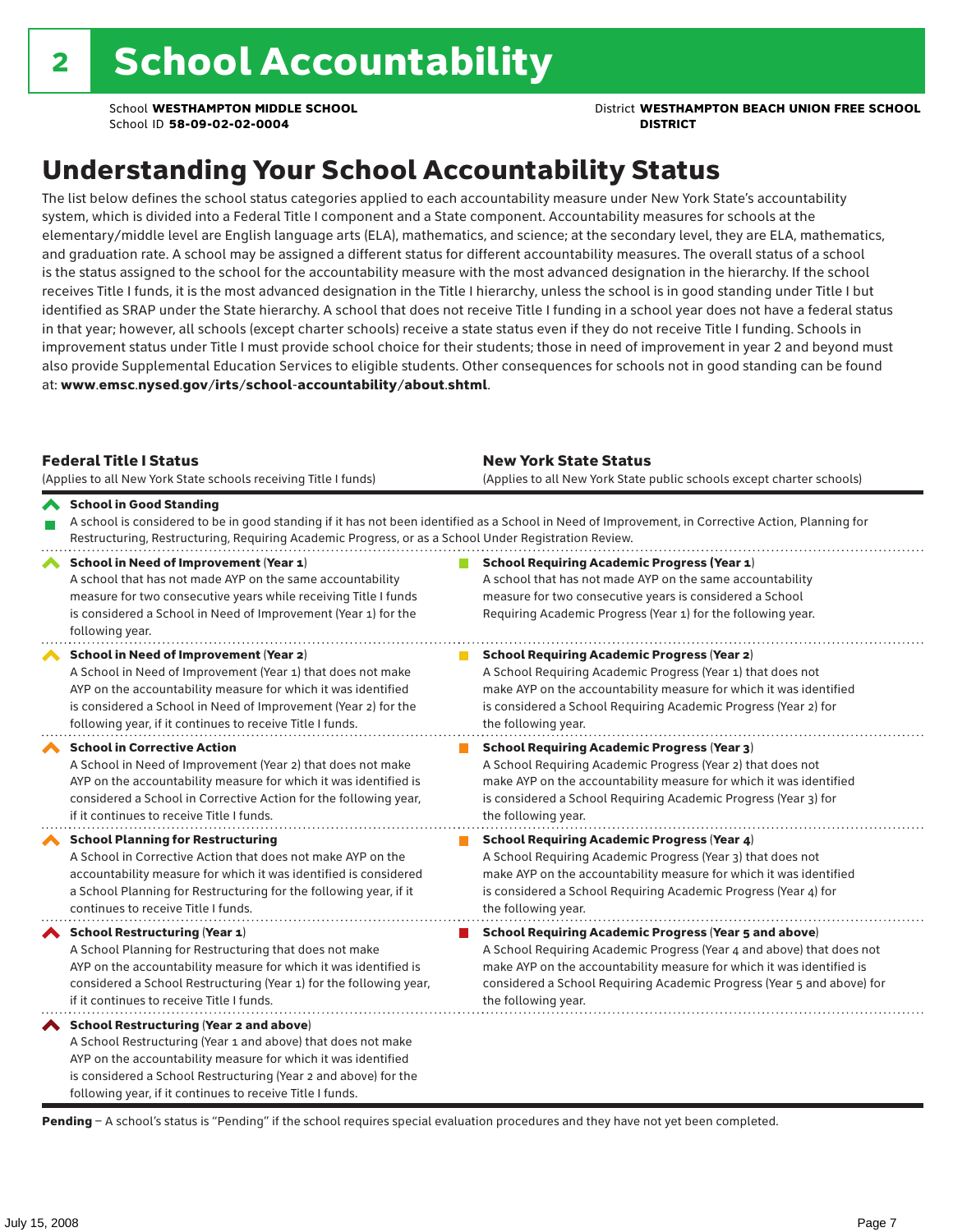School **WESTHAMPTON MIDDLE SCHOOL** District **WESTHAMPTON BEACH UNION FREE SCHOOL**

## Understanding Your School Accountability Status

The list below defines the school status categories applied to each accountability measure under New York State's accountability system, which is divided into a Federal Title I component and a State component. Accountability measures for schools at the elementary/middle level are English language arts (ELA), mathematics, and science; at the secondary level, they are ELA, mathematics, and graduation rate. A school may be assigned a different status for different accountability measures. The overall status of a school is the status assigned to the school for the accountability measure with the most advanced designation in the hierarchy. If the school receives Title I funds, it is the most advanced designation in the Title I hierarchy, unless the school is in good standing under Title I but identified as SRAP under the State hierarchy. A school that does not receive Title I funding in a school year does not have a federal status in that year; however, all schools (except charter schools) receive a state status even if they do not receive Title I funding. Schools in improvement status under Title I must provide school choice for their students; those in need of improvement in year 2 and beyond must also provide Supplemental Education Services to eligible students. Other consequences for schools not in good standing can be found at: www.emsc.nysed.gov/irts/school-accountability/about.shtml.

| <b>Federal Title I Status</b><br>(Applies to all New York State schools receiving Title I funds)                                                                                                                                                                                                         | <b>New York State Status</b><br>(Applies to all New York State public schools except charter schools) |                                                                                                                                                                                                                                                                                                                 |  |  |  |
|----------------------------------------------------------------------------------------------------------------------------------------------------------------------------------------------------------------------------------------------------------------------------------------------------------|-------------------------------------------------------------------------------------------------------|-----------------------------------------------------------------------------------------------------------------------------------------------------------------------------------------------------------------------------------------------------------------------------------------------------------------|--|--|--|
| School in Good Standing<br>Restructuring, Restructuring, Requiring Academic Progress, or as a School Under Registration Review.                                                                                                                                                                          |                                                                                                       | A school is considered to be in good standing if it has not been identified as a School in Need of Improvement, in Corrective Action, Planning for                                                                                                                                                              |  |  |  |
| School in Need of Improvement (Year 1)<br>A school that has not made AYP on the same accountability<br>measure for two consecutive years while receiving Title I funds<br>is considered a School in Need of Improvement (Year 1) for the<br>following year.                                              |                                                                                                       | <b>School Requiring Academic Progress (Year 1)</b><br>A school that has not made AYP on the same accountability<br>measure for two consecutive years is considered a School<br>Requiring Academic Progress (Year 1) for the following year.                                                                     |  |  |  |
| School in Need of Improvement (Year 2)<br>A School in Need of Improvement (Year 1) that does not make<br>AYP on the accountability measure for which it was identified<br>is considered a School in Need of Improvement (Year 2) for the<br>following year, if it continues to receive Title I funds.    |                                                                                                       | <b>School Requiring Academic Progress (Year 2)</b><br>A School Requiring Academic Progress (Year 1) that does not<br>make AYP on the accountability measure for which it was identified<br>is considered a School Requiring Academic Progress (Year 2) for<br>the following year.                               |  |  |  |
| <b>School in Corrective Action</b><br>A School in Need of Improvement (Year 2) that does not make<br>AYP on the accountability measure for which it was identified is<br>considered a School in Corrective Action for the following year,<br>if it continues to receive Title I funds.                   |                                                                                                       | <b>School Requiring Academic Progress (Year 3)</b><br>A School Requiring Academic Progress (Year 2) that does not<br>make AYP on the accountability measure for which it was identified<br>is considered a School Requiring Academic Progress (Year 3) for<br>the following year.                               |  |  |  |
| <b>School Planning for Restructuring</b><br>A School in Corrective Action that does not make AYP on the<br>accountability measure for which it was identified is considered<br>a School Planning for Restructuring for the following year, if it<br>continues to receive Title I funds.                  |                                                                                                       | <b>School Requiring Academic Progress (Year 4)</b><br>A School Requiring Academic Progress (Year 3) that does not<br>make AYP on the accountability measure for which it was identified<br>is considered a School Requiring Academic Progress (Year 4) for<br>the following year.                               |  |  |  |
| <b>School Restructuring (Year 1)</b><br>A School Planning for Restructuring that does not make<br>AYP on the accountability measure for which it was identified is<br>considered a School Restructuring (Year 1) for the following year,<br>if it continues to receive Title I funds.                    |                                                                                                       | <b>School Requiring Academic Progress (Year 5 and above)</b><br>A School Requiring Academic Progress (Year 4 and above) that does not<br>make AYP on the accountability measure for which it was identified is<br>considered a School Requiring Academic Progress (Year 5 and above) for<br>the following year. |  |  |  |
| School Restructuring (Year 2 and above)<br>A School Restructuring (Year 1 and above) that does not make<br>AYP on the accountability measure for which it was identified<br>is considered a School Restructuring (Year 2 and above) for the<br>following year, if it continues to receive Title I funds. |                                                                                                       |                                                                                                                                                                                                                                                                                                                 |  |  |  |

Pending - A school's status is "Pending" if the school requires special evaluation procedures and they have not yet been completed.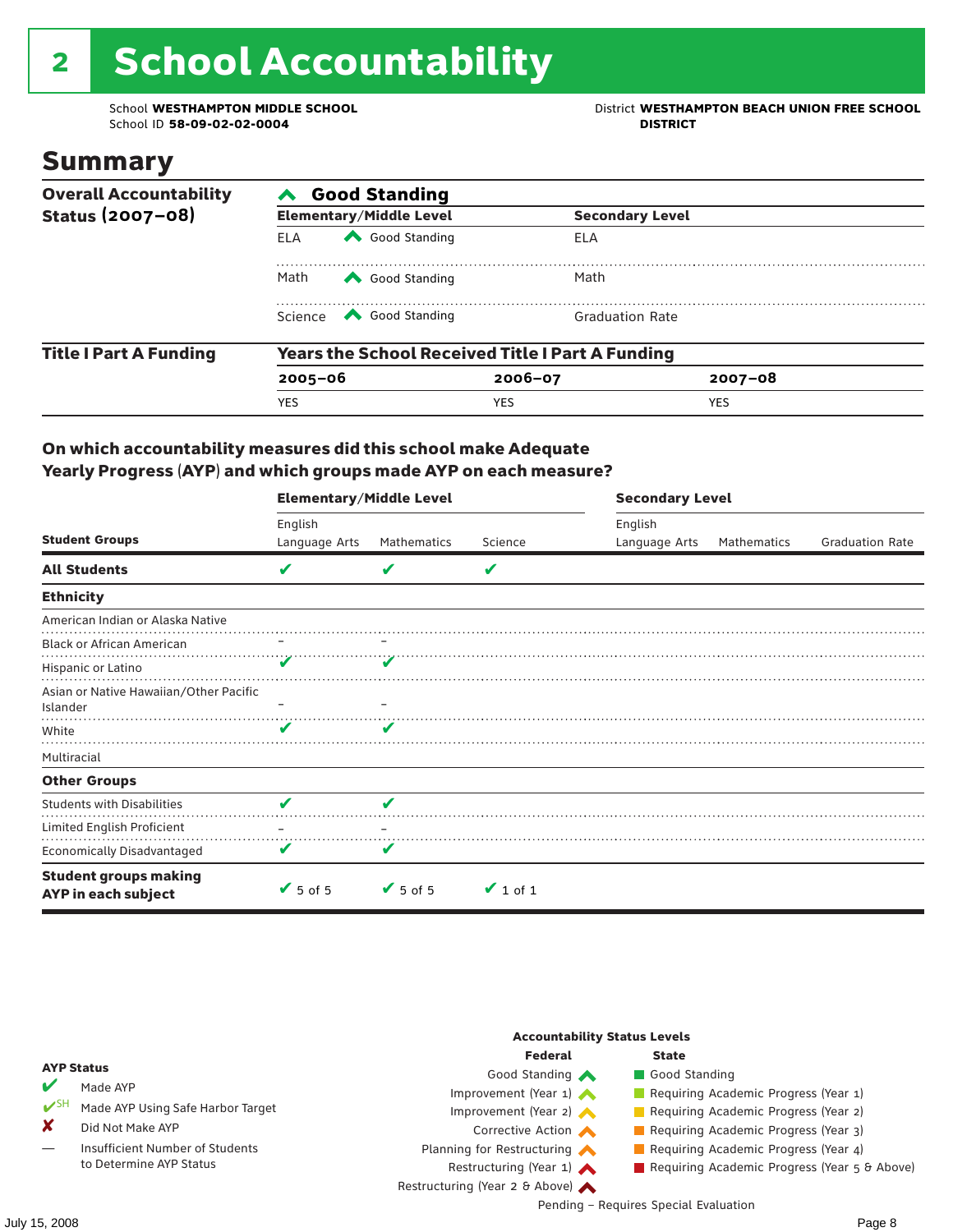# 2 School Accountability

School ID 58-09-02-02-0004

School **WESTHAMPTON MIDDLE SCHOOL**<br>School ID 58-09-02-020404<br>District **District Politics** 

### Summary

| <b>Overall Accountability</b> | <b>Good Standing</b> |                                                                                                                                                                                                                                                                                                                                        |                                                         |                        |  |  |  |
|-------------------------------|----------------------|----------------------------------------------------------------------------------------------------------------------------------------------------------------------------------------------------------------------------------------------------------------------------------------------------------------------------------------|---------------------------------------------------------|------------------------|--|--|--|
| Status (2007-08)              |                      | <b>Elementary/Middle Level</b>                                                                                                                                                                                                                                                                                                         |                                                         | <b>Secondary Level</b> |  |  |  |
|                               | <b>ELA</b>           | Good Standing                                                                                                                                                                                                                                                                                                                          | ELA                                                     |                        |  |  |  |
|                               | Math                 | Good Standing                                                                                                                                                                                                                                                                                                                          | Math                                                    |                        |  |  |  |
|                               |                      | Science <a> Science</a> Science Science Science <a> Science <a> Science <a> Science <a> Science <a> Science <a> Science <a> Science <a> Science <a> Science <a> Science <a<br></a<br> Science <a> Science <a> Science <a<br <="" td=""><td><b>Graduation Rate</b></td><td></td></a<br></a></a></a></a></a></a></a></a></a></a></a></a> | <b>Graduation Rate</b>                                  |                        |  |  |  |
| <b>Title I Part A Funding</b> |                      |                                                                                                                                                                                                                                                                                                                                        | <b>Years the School Received Title I Part A Funding</b> |                        |  |  |  |
|                               | $2005 - 06$          |                                                                                                                                                                                                                                                                                                                                        | $2006 - 07$                                             | $2007 - 08$            |  |  |  |
|                               | <b>YES</b>           |                                                                                                                                                                                                                                                                                                                                        | <b>YES</b>                                              | <b>YES</b>             |  |  |  |

#### On which accountability measures did this school make Adequate Yearly Progress (AYP) and which groups made AYP on each measure?

|                                                     | <b>Elementary/Middle Level</b> |                 |               |               | <b>Secondary Level</b> |                        |  |  |
|-----------------------------------------------------|--------------------------------|-----------------|---------------|---------------|------------------------|------------------------|--|--|
|                                                     | English                        |                 |               | English       |                        |                        |  |  |
| <b>Student Groups</b>                               | Language Arts                  | Mathematics     | Science       | Language Arts | Mathematics            | <b>Graduation Rate</b> |  |  |
| <b>All Students</b>                                 | V                              | v               | V             |               |                        |                        |  |  |
| <b>Ethnicity</b>                                    |                                |                 |               |               |                        |                        |  |  |
| American Indian or Alaska Native                    |                                |                 |               |               |                        |                        |  |  |
| <b>Black or African American</b>                    |                                |                 |               |               |                        |                        |  |  |
| Hispanic or Latino                                  |                                |                 |               |               |                        |                        |  |  |
| Asian or Native Hawaiian/Other Pacific<br>Islander  |                                |                 |               |               |                        |                        |  |  |
| White                                               | v                              | v               |               |               |                        |                        |  |  |
| Multiracial                                         |                                |                 |               |               |                        |                        |  |  |
| <b>Other Groups</b>                                 |                                |                 |               |               |                        |                        |  |  |
| <b>Students with Disabilities</b>                   | V                              | V               |               |               |                        |                        |  |  |
| Limited English Proficient                          |                                |                 |               |               |                        |                        |  |  |
| <b>Economically Disadvantaged</b>                   | V                              | V               |               |               |                        |                        |  |  |
| <b>Student groups making</b><br>AYP in each subject | $\sqrt{5}$ of 5                | $\sqrt{5}$ of 5 | $\vee$ 1 of 1 |               |                        |                        |  |  |

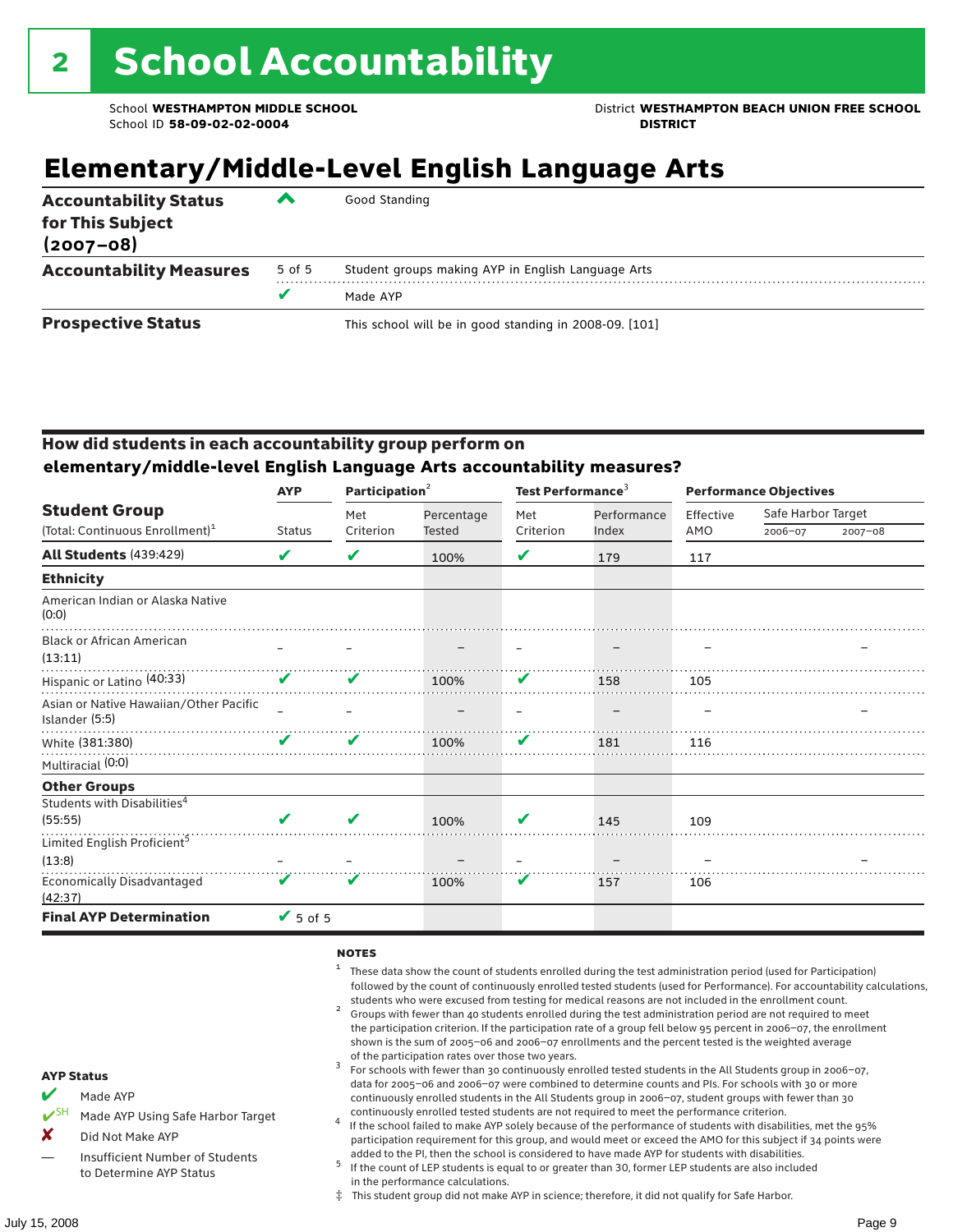School **WESTHAMPTON MIDDLE SCHOOL** District **WESTHAMPTON BEACH UNION FREE SCHOOL**

### **Elementary/Middle-Level English Language Arts**

| <b>Accountability Status</b><br>for This Subject<br>$(2007 - 08)$ | ▰      | Good Standing                                          |
|-------------------------------------------------------------------|--------|--------------------------------------------------------|
| <b>Accountability Measures</b>                                    | 5 of 5 | Student groups making AYP in English Language Arts     |
|                                                                   |        | Made AYP                                               |
| <b>Prospective Status</b>                                         |        | This school will be in good standing in 2008-09. [101] |

#### How did students in each accountability group perform on **elementary/middle-level English Language Arts accountability measures?**

|                                                          | <b>AYP</b>                 | Participation $2$ |            | Test Performance <sup>3</sup> |             | <b>Performance Objectives</b> |                    |             |
|----------------------------------------------------------|----------------------------|-------------------|------------|-------------------------------|-------------|-------------------------------|--------------------|-------------|
| <b>Student Group</b>                                     |                            | Met               | Percentage | Met                           | Performance | Effective                     | Safe Harbor Target |             |
| (Total: Continuous Enrollment) <sup>1</sup>              | <b>Status</b>              | Criterion         | Tested     | Criterion                     | Index       | AMO                           | 2006-07            | $2007 - 08$ |
| <b>All Students (439:429)</b>                            | V                          | V                 | 100%       | V                             | 179         | 117                           |                    |             |
| <b>Ethnicity</b>                                         |                            |                   |            |                               |             |                               |                    |             |
| American Indian or Alaska Native<br>(0:0)                |                            |                   |            |                               |             |                               |                    |             |
| <b>Black or African American</b><br>(13:11)              |                            |                   |            |                               |             |                               |                    |             |
| Hispanic or Latino <sup>(40:33)</sup>                    | $\mathbf v$                | V                 | 100%       | V                             | 158         | 105                           |                    |             |
| Asian or Native Hawaiian/Other Pacific<br>Islander (5:5) |                            |                   |            |                               |             |                               |                    |             |
| White (381:380)                                          | $\boldsymbol{\mathcal{L}}$ | V                 | 100%       | V                             | 181         | 116                           |                    |             |
| Multiracial (0:0)                                        |                            |                   |            |                               |             |                               |                    |             |
| <b>Other Groups</b>                                      |                            |                   |            |                               |             |                               |                    |             |
| Students with Disabilities <sup>4</sup><br>(55:55)       | $\boldsymbol{\mathcal{U}}$ | V                 |            | V                             | 145         | 109                           |                    |             |
| Limited English Proficient <sup>5</sup>                  |                            |                   | 100%       |                               |             |                               |                    |             |
| (13:8)                                                   |                            |                   |            |                               |             |                               |                    |             |
| <b>Economically Disadvantaged</b><br>(42:37)             | V                          | V                 | 100%       | V                             | 157         | 106                           |                    |             |
| <b>Final AYP Determination</b>                           | $V$ 5 of 5                 |                   |            |                               |             |                               |                    |             |

#### **NOTES**

- <sup>1</sup> These data show the count of students enrolled during the test administration period (used for Participation) followed by the count of continuously enrolled tested students (used for Performance). For accountability calculations,
- students who were excused from testing for medical reasons are not included in the enrollment count. <sup>2</sup> Groups with fewer than 40 students enrolled during the test administration period are not required to meet the participation criterion. If the participation rate of a group fell below 95 percent in 2006–07, the enrollment shown is the sum of 2005–06 and 2006–07 enrollments and the percent tested is the weighted average
- of the participation rates over those two years.<br><sup>3</sup> For schools with fewer than 30 continuously enrolled tested students in the All Students group in 2006–07, data for 2005–06 and 2006–07 were combined to determine counts and PIs. For schools with 30 or more continuously enrolled students in the All Students group in 2006–07, student groups with fewer than 30
- continuously enrolled tested students are not required to meet the performance criterion. <sup>4</sup> If the school failed to make AYP solely because of the performance of students with disabilities, met the 95% participation requirement for this group, and would meet or exceed the AMO for this subject if 34 points were added to the PI, then the school is considered to have made AYP for students with disabilities.
- $5$  If the count of LEP students is equal to or greater than 30, former LEP students are also included in the performance calculations.
- ‡ This student group did not make AYP in science; therefore, it did not qualify for Safe Harbor.
- Made AYP
	- Made AYP Using Safe Harbor Target
- X Did Not Make AYP
- Insufficient Number of Students to Determine AYP Status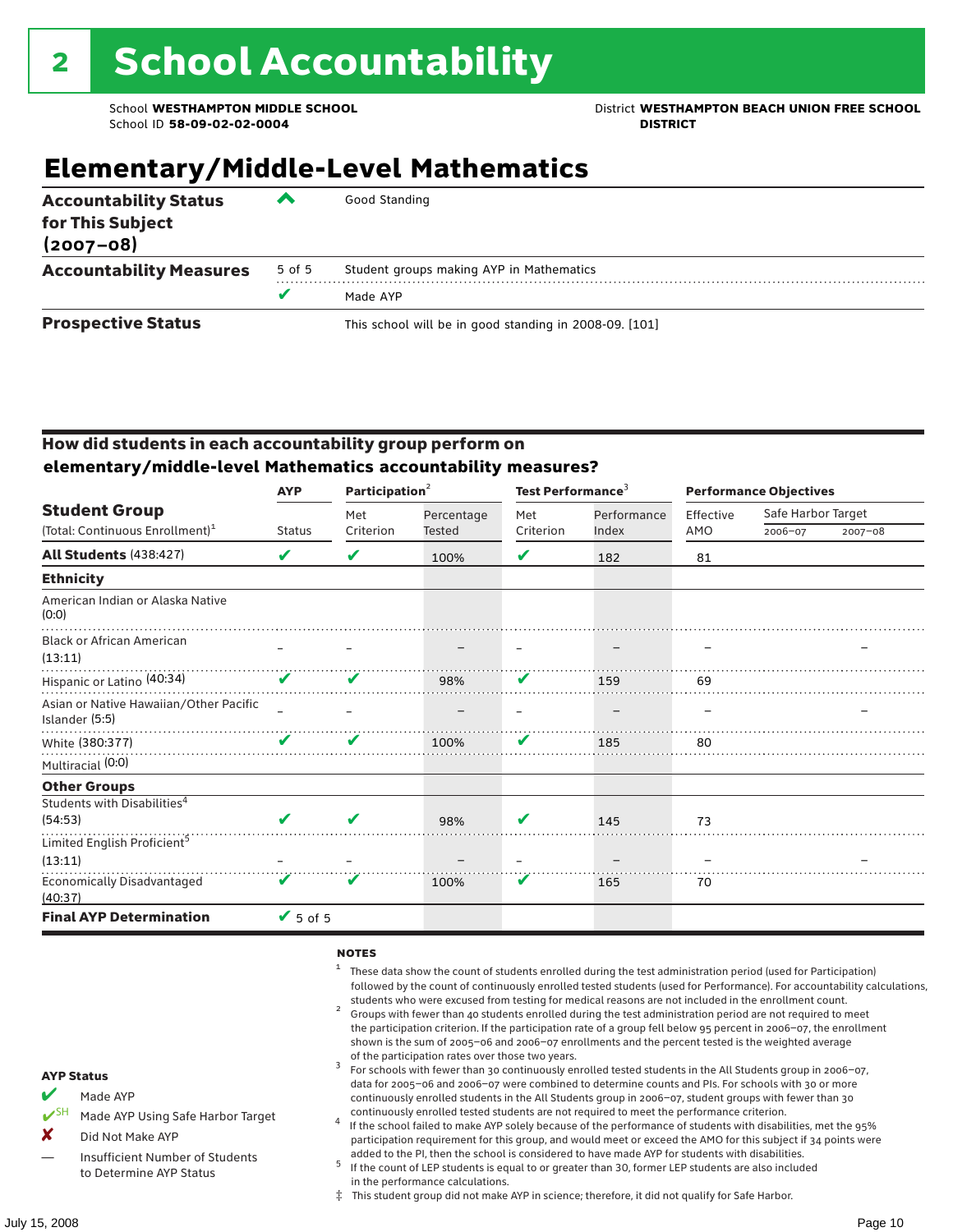School **WESTHAMPTON MIDDLE SCHOOL** District **WESTHAMPTON BEACH UNION FREE SCHOOL**

### **Elementary/Middle-Level Mathematics**

| <b>Accountability Status</b><br>for This Subject<br>$(2007 - 08)$ | ▰      | Good Standing                                          |
|-------------------------------------------------------------------|--------|--------------------------------------------------------|
| <b>Accountability Measures</b>                                    | 5 of 5 | Student groups making AYP in Mathematics               |
|                                                                   |        | Made AYP                                               |
| <b>Prospective Status</b>                                         |        | This school will be in good standing in 2008-09. [101] |

#### How did students in each accountability group perform on **elementary/middle-level Mathematics accountability measures?**

|                                                          | <b>AYP</b>    | Participation <sup>2</sup> |               | Test Performance <sup>3</sup> |             | <b>Performance Objectives</b> |                    |         |
|----------------------------------------------------------|---------------|----------------------------|---------------|-------------------------------|-------------|-------------------------------|--------------------|---------|
| <b>Student Group</b>                                     |               | Met                        | Percentage    | Met                           | Performance | Effective                     | Safe Harbor Target |         |
| (Total: Continuous Enrollment) <sup>1</sup>              | <b>Status</b> | Criterion                  | <b>Tested</b> | Criterion                     | Index       | AMO                           | 2006-07            | 2007-08 |
| <b>All Students (438:427)</b>                            | V             | V                          | 100%          | V                             | 182         | 81                            |                    |         |
| <b>Ethnicity</b>                                         |               |                            |               |                               |             |                               |                    |         |
| American Indian or Alaska Native<br>(0:0)                |               |                            |               |                               |             |                               |                    |         |
| <b>Black or African American</b><br>(13:11)              |               |                            |               |                               |             |                               |                    |         |
| Hispanic or Latino <sup>(40:34)</sup>                    | $\mathbf v$   | V                          | 98%           | V                             | 159         | 69                            |                    |         |
| Asian or Native Hawaiian/Other Pacific<br>Islander (5:5) |               |                            |               |                               |             |                               |                    |         |
| White (380:377)                                          | ✔             | v                          | 100%          | V                             | 185         | 80                            |                    |         |
| Multiracial (0:0)                                        |               |                            |               |                               |             |                               |                    |         |
| <b>Other Groups</b>                                      |               |                            |               |                               |             |                               |                    |         |
| Students with Disabilities <sup>4</sup>                  |               |                            |               |                               |             |                               |                    |         |
| (54:53)                                                  | V             | v                          | 98%           | V                             | 145         | 73                            |                    |         |
| Limited English Proficient <sup>5</sup>                  |               |                            |               |                               |             |                               |                    |         |
| (13:11)                                                  |               |                            |               |                               |             |                               |                    |         |
| <b>Economically Disadvantaged</b><br>(40:37)             | V             | V                          | 100%          | V                             | 165         | 70                            |                    |         |
| <b>Final AYP Determination</b>                           | $V$ 5 of 5    |                            |               |                               |             |                               |                    |         |

#### **NOTES**

- <sup>1</sup> These data show the count of students enrolled during the test administration period (used for Participation) followed by the count of continuously enrolled tested students (used for Performance). For accountability calculations,
- students who were excused from testing for medical reasons are not included in the enrollment count.<br><sup>2</sup> Groups with fewer than 40 students enrolled during the test administration period are not required to meet the participation criterion. If the participation rate of a group fell below 95 percent in 2006–07, the enrollment shown is the sum of 2005–06 and 2006–07 enrollments and the percent tested is the weighted average
- of the participation rates over those two years.<br><sup>3</sup> For schools with fewer than 30 continuously enrolled tested students in the All Students group in 2006–07, data for 2005–06 and 2006–07 were combined to determine counts and PIs. For schools with 30 or more continuously enrolled students in the All Students group in 2006–07, student groups with fewer than 30
- continuously enrolled tested students are not required to meet the performance criterion. <sup>4</sup> If the school failed to make AYP solely because of the performance of students with disabilities, met the 95% participation requirement for this group, and would meet or exceed the AMO for this subject if 34 points were added to the PI, then the school is considered to have made AYP for students with disabilities.
- $5$  If the count of LEP students is equal to or greater than 30, former LEP students are also included in the performance calculations.
- ‡ This student group did not make AYP in science; therefore, it did not qualify for Safe Harbor.
- Made AYP
	- Made AYP Using Safe Harbor Target
- X Did Not Make AYP
- Insufficient Number of Students to Determine AYP Status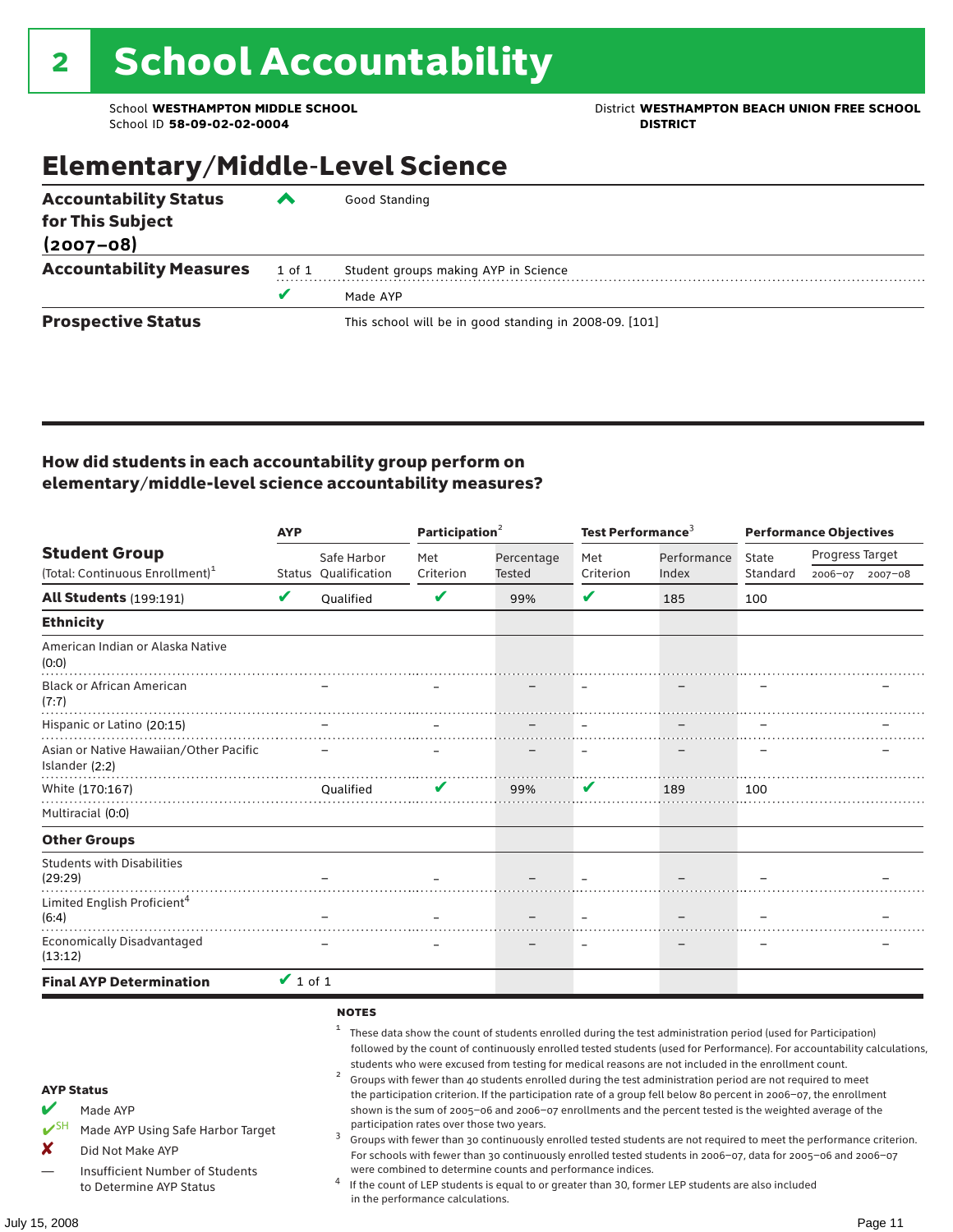School **WESTHAMPTON MIDDLE SCHOOL**<br>School ID 58-09-02-020404<br>DISTRICT DISTRICT

## Elementary/Middle-Level Science

| <b>Accountability Status</b>   | ◚          | Good Standing                                          |  |  |  |  |  |
|--------------------------------|------------|--------------------------------------------------------|--|--|--|--|--|
| for This Subject               |            |                                                        |  |  |  |  |  |
| $(2007 - 08)$                  |            |                                                        |  |  |  |  |  |
| <b>Accountability Measures</b> | $1$ of $1$ | Student groups making AYP in Science                   |  |  |  |  |  |
|                                | v          | Made AYP                                               |  |  |  |  |  |
| <b>Prospective Status</b>      |            | This school will be in good standing in 2008-09. [101] |  |  |  |  |  |

#### How did students in each accountability group perform on elementary/middle-level science accountability measures?

|                                                                                                                                                                            | <b>AYP</b>    |                                                   | Participation <sup>2</sup>                                                    |                                                            | Test Performance <sup>3</sup> |                                                                                                                                                                                                                                                                                                                                                                                                                                                                                                                                                                                                                                                                              | <b>Performance Objectives</b> |                                                                                                                                                                                                                                                                                                                                                                 |  |
|----------------------------------------------------------------------------------------------------------------------------------------------------------------------------|---------------|---------------------------------------------------|-------------------------------------------------------------------------------|------------------------------------------------------------|-------------------------------|------------------------------------------------------------------------------------------------------------------------------------------------------------------------------------------------------------------------------------------------------------------------------------------------------------------------------------------------------------------------------------------------------------------------------------------------------------------------------------------------------------------------------------------------------------------------------------------------------------------------------------------------------------------------------|-------------------------------|-----------------------------------------------------------------------------------------------------------------------------------------------------------------------------------------------------------------------------------------------------------------------------------------------------------------------------------------------------------------|--|
| <b>Student Group</b>                                                                                                                                                       |               | Safe Harbor                                       | Met                                                                           | Percentage                                                 | Met                           | Performance                                                                                                                                                                                                                                                                                                                                                                                                                                                                                                                                                                                                                                                                  | State                         | Progress Target                                                                                                                                                                                                                                                                                                                                                 |  |
| (Total: Continuous Enrollment) <sup>1</sup>                                                                                                                                |               | Status Qualification                              | Criterion                                                                     | Tested                                                     | Criterion                     | Index                                                                                                                                                                                                                                                                                                                                                                                                                                                                                                                                                                                                                                                                        | Standard                      | 2006-07 2007-08                                                                                                                                                                                                                                                                                                                                                 |  |
| <b>All Students (199:191)</b>                                                                                                                                              | V             | Oualified                                         | V                                                                             | 99%                                                        | V                             | 185                                                                                                                                                                                                                                                                                                                                                                                                                                                                                                                                                                                                                                                                          | 100                           |                                                                                                                                                                                                                                                                                                                                                                 |  |
| <b>Ethnicity</b>                                                                                                                                                           |               |                                                   |                                                                               |                                                            |                               |                                                                                                                                                                                                                                                                                                                                                                                                                                                                                                                                                                                                                                                                              |                               |                                                                                                                                                                                                                                                                                                                                                                 |  |
| American Indian or Alaska Native<br>(0:0)                                                                                                                                  |               |                                                   |                                                                               |                                                            |                               |                                                                                                                                                                                                                                                                                                                                                                                                                                                                                                                                                                                                                                                                              |                               |                                                                                                                                                                                                                                                                                                                                                                 |  |
| <b>Black or African American</b><br>(7:7)                                                                                                                                  |               |                                                   |                                                                               |                                                            |                               |                                                                                                                                                                                                                                                                                                                                                                                                                                                                                                                                                                                                                                                                              |                               |                                                                                                                                                                                                                                                                                                                                                                 |  |
| Hispanic or Latino (20:15)                                                                                                                                                 |               |                                                   |                                                                               |                                                            |                               |                                                                                                                                                                                                                                                                                                                                                                                                                                                                                                                                                                                                                                                                              |                               |                                                                                                                                                                                                                                                                                                                                                                 |  |
| Asian or Native Hawaiian/Other Pacific<br>Islander (2:2)                                                                                                                   |               |                                                   |                                                                               |                                                            |                               |                                                                                                                                                                                                                                                                                                                                                                                                                                                                                                                                                                                                                                                                              |                               |                                                                                                                                                                                                                                                                                                                                                                 |  |
| White (170:167)                                                                                                                                                            |               | <b>Oualified</b>                                  | V                                                                             | 99%                                                        | V                             | 189                                                                                                                                                                                                                                                                                                                                                                                                                                                                                                                                                                                                                                                                          | 100                           |                                                                                                                                                                                                                                                                                                                                                                 |  |
| Multiracial (0:0)                                                                                                                                                          |               |                                                   |                                                                               |                                                            |                               |                                                                                                                                                                                                                                                                                                                                                                                                                                                                                                                                                                                                                                                                              |                               |                                                                                                                                                                                                                                                                                                                                                                 |  |
| <b>Other Groups</b>                                                                                                                                                        |               |                                                   |                                                                               |                                                            |                               |                                                                                                                                                                                                                                                                                                                                                                                                                                                                                                                                                                                                                                                                              |                               |                                                                                                                                                                                                                                                                                                                                                                 |  |
| <b>Students with Disabilities</b><br>(29:29)                                                                                                                               |               |                                                   |                                                                               |                                                            |                               |                                                                                                                                                                                                                                                                                                                                                                                                                                                                                                                                                                                                                                                                              |                               |                                                                                                                                                                                                                                                                                                                                                                 |  |
| Limited English Proficient <sup>4</sup><br>(6:4)                                                                                                                           |               |                                                   |                                                                               |                                                            |                               |                                                                                                                                                                                                                                                                                                                                                                                                                                                                                                                                                                                                                                                                              |                               |                                                                                                                                                                                                                                                                                                                                                                 |  |
| <b>Economically Disadvantaged</b><br>(13:12)                                                                                                                               |               |                                                   |                                                                               |                                                            |                               |                                                                                                                                                                                                                                                                                                                                                                                                                                                                                                                                                                                                                                                                              |                               |                                                                                                                                                                                                                                                                                                                                                                 |  |
| <b>Final AYP Determination</b>                                                                                                                                             | $\vee$ 1 of 1 |                                                   |                                                                               |                                                            |                               |                                                                                                                                                                                                                                                                                                                                                                                                                                                                                                                                                                                                                                                                              |                               |                                                                                                                                                                                                                                                                                                                                                                 |  |
| <b>AYP Status</b><br>V<br>Made AYP<br>$V^{SH}$<br>Made AYP Using Safe Harbor Target<br>X<br>Did Not Make AYP<br>Insufficient Number of Students<br>to Determine AYP Status |               | <b>NOTES</b><br>1<br>$\overline{\mathbf{c}}$<br>3 | participation rates over those two years.<br>in the performance calculations. | were combined to determine counts and performance indices. |                               | These data show the count of students enrolled during the test administration period (used for Participation)<br>students who were excused from testing for medical reasons are not included in the enrollment count.<br>Groups with fewer than 40 students enrolled during the test administration period are not required to meet<br>the participation criterion. If the participation rate of a group fell below 80 percent in 2006-07, the enrollment<br>shown is the sum of 2005-06 and 2006-07 enrollments and the percent tested is the weighted average of the<br>If the count of LEP students is equal to or greater than 30, former LEP students are also included |                               | followed by the count of continuously enrolled tested students (used for Performance). For accountability calculations,<br>Groups with fewer than 30 continuously enrolled tested students are not required to meet the performance criterion.<br>For schools with fewer than 30 continuously enrolled tested students in 2006-07, data for 2005-06 and 2006-07 |  |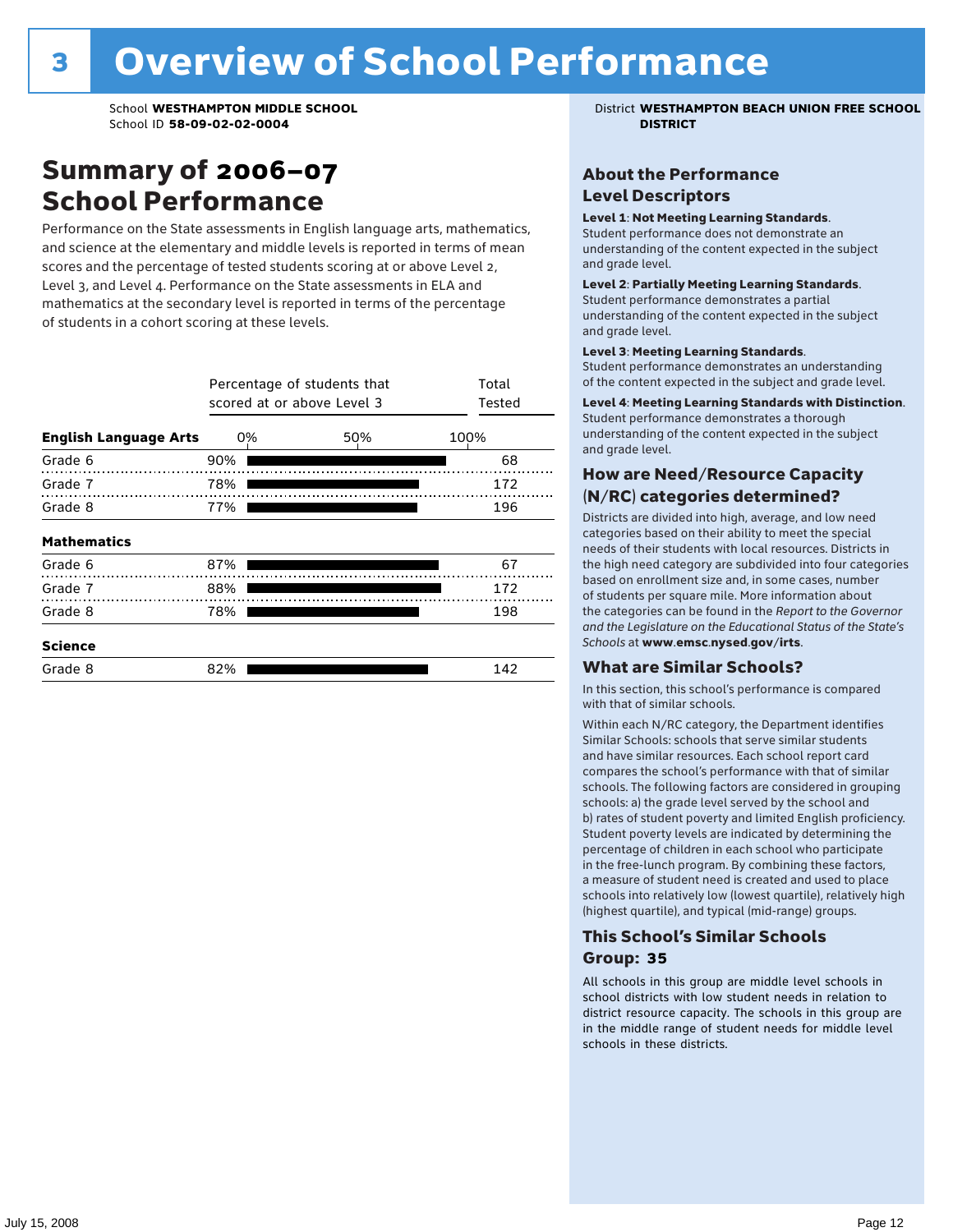### Summary of 2006–07 School Performance

Performance on the State assessments in English language arts, mathematics, and science at the elementary and middle levels is reported in terms of mean scores and the percentage of tested students scoring at or above Level 2, Level 3, and Level 4. Performance on the State assessments in ELA and mathematics at the secondary level is reported in terms of the percentage of students in a cohort scoring at these levels.

|                              | Percentage of students that<br>scored at or above Level 3 | Total<br>Tested |      |
|------------------------------|-----------------------------------------------------------|-----------------|------|
| <b>English Language Arts</b> | 0%                                                        | 50%             | 100% |
| Grade 6                      | 90%                                                       |                 | 68   |
| Grade 7                      | 78%                                                       |                 | 172  |
| Grade 8                      | 77%                                                       |                 | 196  |
| <b>Mathematics</b>           |                                                           |                 |      |
| Grade 6                      | 87%                                                       |                 | 67   |
| Grade 7                      | 88%                                                       |                 | 172  |
| Grade 8                      | 78%                                                       |                 | 198  |
| <b>Science</b>               |                                                           |                 |      |
| Grade 8                      | 82%                                                       |                 | 142  |

School **WESTHAMPTON MIDDLE SCHOOL** District **WESTHAMPTON BEACH UNION FREE SCHOOL**

#### About the Performance Level Descriptors

#### Level 1: Not Meeting Learning Standards.

Student performance does not demonstrate an understanding of the content expected in the subject and grade level.

#### Level 2: Partially Meeting Learning Standards.

Student performance demonstrates a partial understanding of the content expected in the subject and grade level.

#### Level 3: Meeting Learning Standards.

Student performance demonstrates an understanding of the content expected in the subject and grade level.

#### Level 4: Meeting Learning Standards with Distinction.

Student performance demonstrates a thorough understanding of the content expected in the subject and grade level.

#### How are Need/Resource Capacity (N/RC) categories determined?

Districts are divided into high, average, and low need categories based on their ability to meet the special needs of their students with local resources. Districts in the high need category are subdivided into four categories based on enrollment size and, in some cases, number of students per square mile. More information about the categories can be found in the *Report to the Governor and the Legislature on the Educational Status of the State's Schools* at www.emsc.nysed.gov/irts.

#### What are Similar Schools?

In this section, this school's performance is compared with that of similar schools.

Within each N/RC category, the Department identifies Similar Schools: schools that serve similar students and have similar resources. Each school report card compares the school's performance with that of similar schools. The following factors are considered in grouping schools: a) the grade level served by the school and b) rates of student poverty and limited English proficiency. Student poverty levels are indicated by determining the percentage of children in each school who participate in the free-lunch program. By combining these factors, a measure of student need is created and used to place schools into relatively low (lowest quartile), relatively high (highest quartile), and typical (mid-range) groups.

#### This School's Similar Schools Group: **35**

All schools in this group are middle level schools in school districts with low student needs in relation to district resource capacity. The schools in this group are in the middle range of student needs for middle level schools in these districts.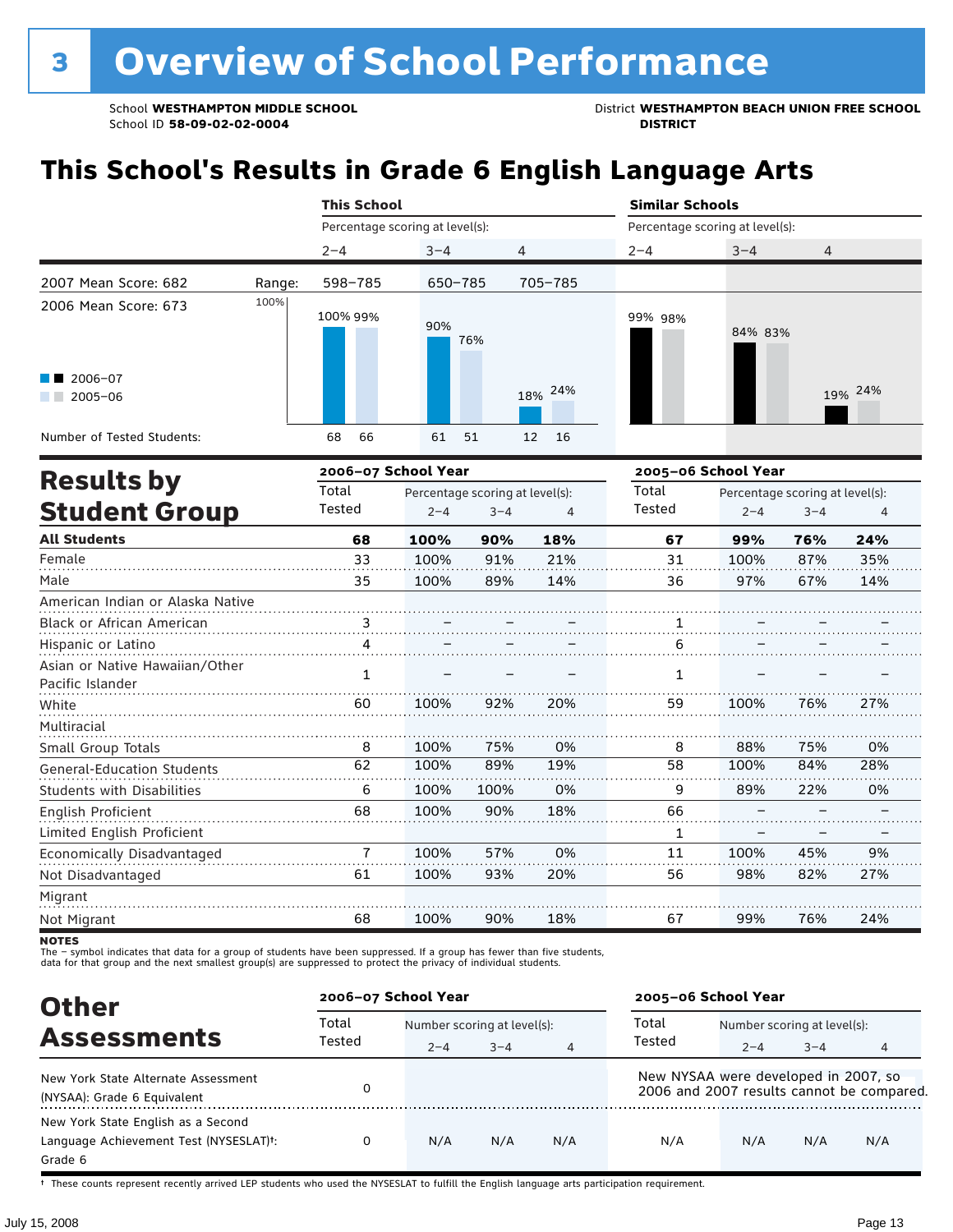School **WESTHAMPTON MIDDLE SCHOOL**<br>School ID 58-09-02-020404<br>DISTRICT DISTRICT

## **This School's Results in Grade 6 English Language Arts**

|                                                               |        | <b>This School</b>              |                                 |          | <b>Similar Schools</b>          |                                 |         |  |  |
|---------------------------------------------------------------|--------|---------------------------------|---------------------------------|----------|---------------------------------|---------------------------------|---------|--|--|
|                                                               |        | Percentage scoring at level(s): |                                 |          | Percentage scoring at level(s): |                                 |         |  |  |
|                                                               |        | $2 - 4$                         | $3 - 4$                         | 4        | $2 - 4$                         | $3 - 4$                         | 4       |  |  |
| 2007 Mean Score: 682                                          | Range: | 598-785                         | 650-785                         | 705-785  |                                 |                                 |         |  |  |
| 2006 Mean Score: 673<br>$\blacksquare$ 2006-07<br>$2005 - 06$ | 100%   | 100% 99%                        | 90%<br>76%                      | 18% 24%  | 99% 98%                         | 84% 83%                         | 19% 24% |  |  |
| Number of Tested Students:                                    |        | 66<br>68                        | 61<br>51                        | 16<br>12 |                                 |                                 |         |  |  |
| <b>Results by</b>                                             |        | 2006-07 School Year             |                                 |          | 2005-06 School Year             |                                 |         |  |  |
|                                                               |        | Total                           | Percentage scoring at level(s). |          | Total                           | Percentage scoring at level(s). |         |  |  |

| <b>Results by</b>                 | Total         |         | Percentage scoring at level(s): |     | Total  | Percentage scoring at level(s): |         |     |
|-----------------------------------|---------------|---------|---------------------------------|-----|--------|---------------------------------|---------|-----|
| <b>Student Group</b>              | Tested        | $2 - 4$ | $3 - 4$                         | 4   | Tested | $2 - 4$                         | $3 - 4$ | 4   |
| <b>All Students</b>               | 68            | 100%    | 90%                             | 18% | 67     | 99%                             | 76%     | 24% |
| Female                            | 33            | 100%    | 91%                             | 21% | 31     | 100%                            | 87%     | 35% |
| Male                              | 35            | 100%    | 89%                             | 14% | 36     | 97%                             | 67%     | 14% |
| American Indian or Alaska Native  |               |         |                                 |     |        |                                 |         |     |
| Black or African American         | $\frac{3}{2}$ |         |                                 |     |        |                                 |         |     |
| Hispanic or Latino                |               |         |                                 |     | 6      |                                 |         |     |
| Asian or Native Hawaiian/Other    | 1             |         |                                 |     | 1      |                                 |         |     |
| Pacific Islander                  |               |         |                                 |     |        |                                 |         |     |
| White                             | 60            | 100%    | 92%                             | 20% | 59     | 100%                            | 76%     | 27% |
| Multiracial                       |               |         |                                 |     |        |                                 |         |     |
| Small Group Totals                | 8             | 100%    | 75%                             | 0%  | 8      | 88%                             | 75%     | 0%  |
| <b>General-Education Students</b> | 62            | 100%    | 89%                             | 19% | 58     | 100%                            | 84%     | 28% |
| Students with Disabilities        | 6             | 100%    | 100%                            | 0%  | 9      | 89%                             | 22%     | 0%  |
| English Proficient                | 68            | 100%    | 90%                             | 18% | 66     |                                 |         |     |
| Limited English Proficient        |               |         |                                 |     | 1      |                                 |         |     |
| Economically Disadvantaged        | 7             | 100%    | 57%                             | 0%  | 11     | 100%                            | 45%     | 9%  |
| Not Disadvantaged                 | 61            | 100%    | 93%                             | 20% | 56     | 98%                             | 82%     | 27% |
| Migrant                           |               |         |                                 |     |        |                                 |         |     |
| Not Migrant                       | 68            | 100%    | 90%                             | 18% | 67     | 99%                             | 76%     | 24% |

**NOTES** 

The – symbol indicates that data for a group of students have been suppressed. If a group has fewer than five students,<br>data for that group and the next smallest group(s) are suppressed to protect the privacy of individual

| <b>Other</b>                                                                            | 2006-07 School Year |                             |         |                | 2005-06 School Year                  |                             |         |                                           |
|-----------------------------------------------------------------------------------------|---------------------|-----------------------------|---------|----------------|--------------------------------------|-----------------------------|---------|-------------------------------------------|
| <b>Assessments</b>                                                                      | Total               | Number scoring at level(s): |         |                | Total                                | Number scoring at level(s): |         |                                           |
|                                                                                         | Tested              | $2 - 4$                     | $3 - 4$ | $\overline{4}$ | Tested                               | $2 - 4$                     | $3 - 4$ | 4                                         |
| New York State Alternate Assessment<br>(NYSAA): Grade 6 Equivalent                      |                     |                             |         |                | New NYSAA were developed in 2007, so |                             |         | 2006 and 2007 results cannot be compared. |
| New York State English as a Second<br>Language Achievement Test (NYSESLAT)t:<br>Grade 6 | 0                   | N/A                         | N/A     | N/A            | N/A                                  | N/A                         | N/A     | N/A                                       |

† These counts represent recently arrived LEP students who used the NYSESLAT to fulfill the English language arts participation requirement.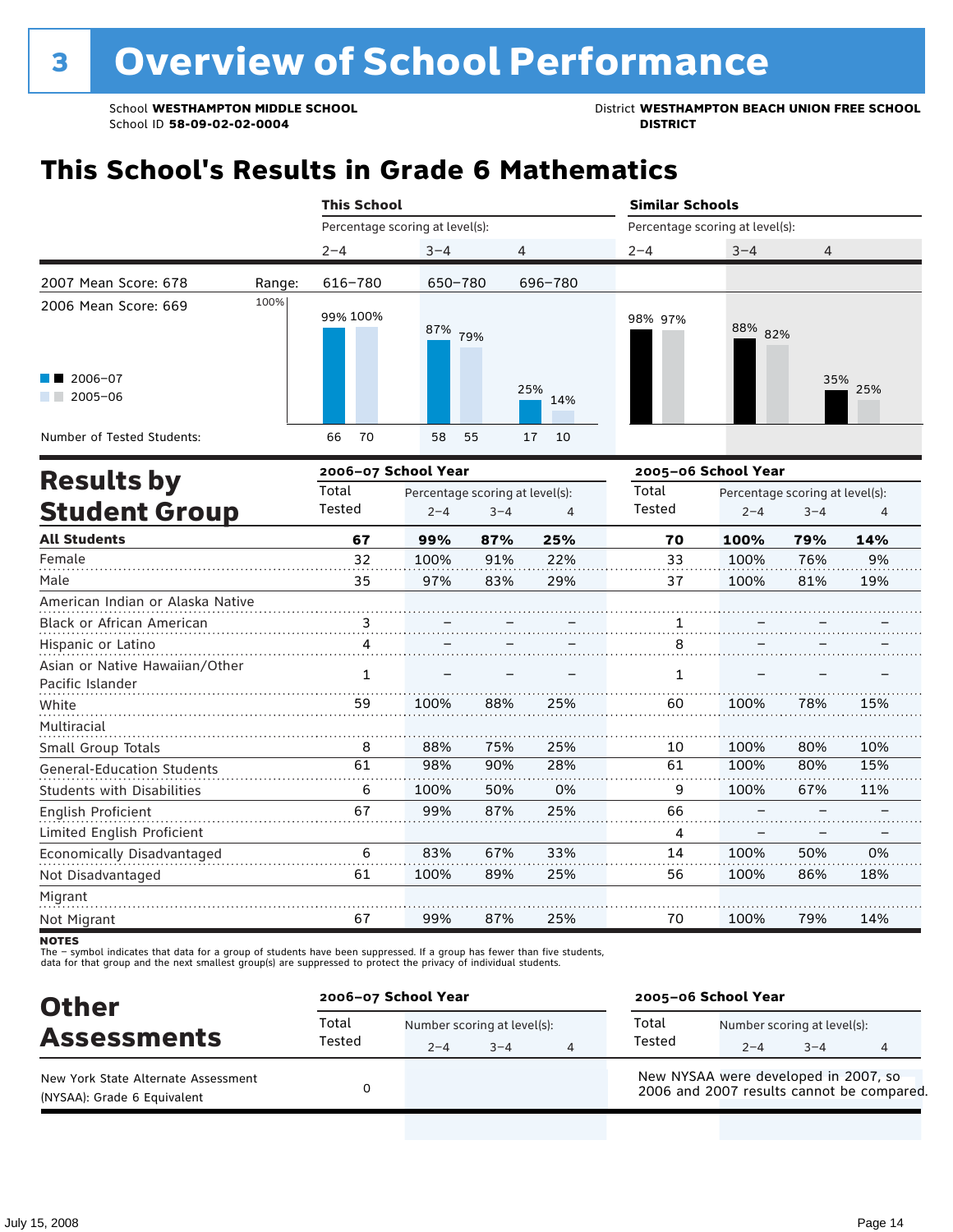School **WESTHAMPTON MIDDLE SCHOOL**<br>School ID 58-09-02-0204<br>DISTRICT<br>DISTRICT

## **This School's Results in Grade 6 Mathematics**

|                                                               |        | <b>This School</b>  |                                 |                |         | <b>Similar Schools</b>          |              |  |  |  |
|---------------------------------------------------------------|--------|---------------------|---------------------------------|----------------|---------|---------------------------------|--------------|--|--|--|
|                                                               |        |                     | Percentage scoring at level(s): |                |         | Percentage scoring at level(s): |              |  |  |  |
|                                                               |        | $2 - 4$             | $3 - 4$                         | 4              | $2 - 4$ | $3 - 4$                         | 4            |  |  |  |
| 2007 Mean Score: 678                                          | Range: | 616-780             | 650-780                         | 696-780        |         |                                 |              |  |  |  |
| 2006 Mean Score: 669<br>$\blacksquare$ 2006-07<br>$2005 - 06$ | 100%   | 99% 100%            | 87%<br>79%                      | 25%<br>14%     | 98% 97% | 88% 82%                         | 35%<br>25%   |  |  |  |
| Number of Tested Students:                                    |        | 70<br>66            | 58<br>55                        | 17<br>10       |         |                                 |              |  |  |  |
|                                                               |        | 2006-07 School Year |                                 |                |         | 2005-06 School Year             |              |  |  |  |
| <b>Results by</b>                                             |        | Total               | Percentage scoring at level(s): |                | Total   | Percentage scoring at level(s): |              |  |  |  |
| <b>Student Group</b>                                          |        | Tested              | $2 - 4$<br>$3 - 4$              | $\overline{4}$ | Tested  | $2 - 4$                         | $3 - 4$<br>4 |  |  |  |
| <b>All Students</b>                                           |        | 67                  | 87%<br>99%                      | 25%            | 70      | 100%                            | 79%<br>14%   |  |  |  |
|                                                               |        |                     |                                 |                |         |                                 |              |  |  |  |

| Female                            | 32           | 100% | 91% | 22% | 33 | 100% | 76% | 9%  |
|-----------------------------------|--------------|------|-----|-----|----|------|-----|-----|
| Male                              | 35           | 97%  | 83% | 29% | 37 | 100% | 81% | 19% |
| American Indian or Alaska Native  |              |      |     |     |    |      |     |     |
| <b>Black or African American</b>  | з            |      |     |     |    |      |     |     |
| Hispanic or Latino                |              |      |     |     | 8  |      |     |     |
| Asian or Native Hawaiian/Other    |              |      |     |     |    |      |     |     |
| Pacific Islander                  | $\mathbf{1}$ |      |     |     | 1  |      |     |     |
| White                             | 59           | 100% | 88% | 25% | 60 | 100% | 78% | 15% |
| Multiracial                       |              |      |     |     |    |      |     |     |
| Small Group Totals                | 8            | 88%  | 75% | 25% | 10 | 100% | 80% | 10% |
| <b>General-Education Students</b> | 61           | 98%  | 90% | 28% | 61 | 100% | 80% | 15% |
| <b>Students with Disabilities</b> | 6            | 100% | 50% | 0%  | 9  | 100% | 67% | 11% |
| English Proficient                | 67           | 99%  | 87% | 25% | 66 |      |     |     |
| Limited English Proficient        |              |      |     |     | 4  |      |     |     |
| Economically Disadvantaged        | 6            | 83%  | 67% | 33% | 14 | 100% | 50% | 0%  |
| Not Disadvantaged                 | 61           | 100% | 89% | 25% | 56 | 100% | 86% | 18% |
| Migrant                           |              |      |     |     |    |      |     |     |
| Not Migrant                       | 67           | 99%  | 87% | 25% | 70 | 100% | 79% | 14% |

**NOTES** 

| <b>Other</b><br><b>Assessments</b>                                 | 2006-07 School Year |                                        |         |   | 2005-06 School Year                                                               |                                        |         |  |  |
|--------------------------------------------------------------------|---------------------|----------------------------------------|---------|---|-----------------------------------------------------------------------------------|----------------------------------------|---------|--|--|
|                                                                    | Total<br>Tested     | Number scoring at level(s):<br>$2 - 4$ | $3 - 4$ | 4 | Total<br>Tested                                                                   | Number scoring at level(s):<br>$2 - 4$ | $3 - 4$ |  |  |
| New York State Alternate Assessment<br>(NYSAA): Grade 6 Equivalent |                     |                                        |         |   | New NYSAA were developed in 2007, so<br>2006 and 2007 results cannot be compared. |                                        |         |  |  |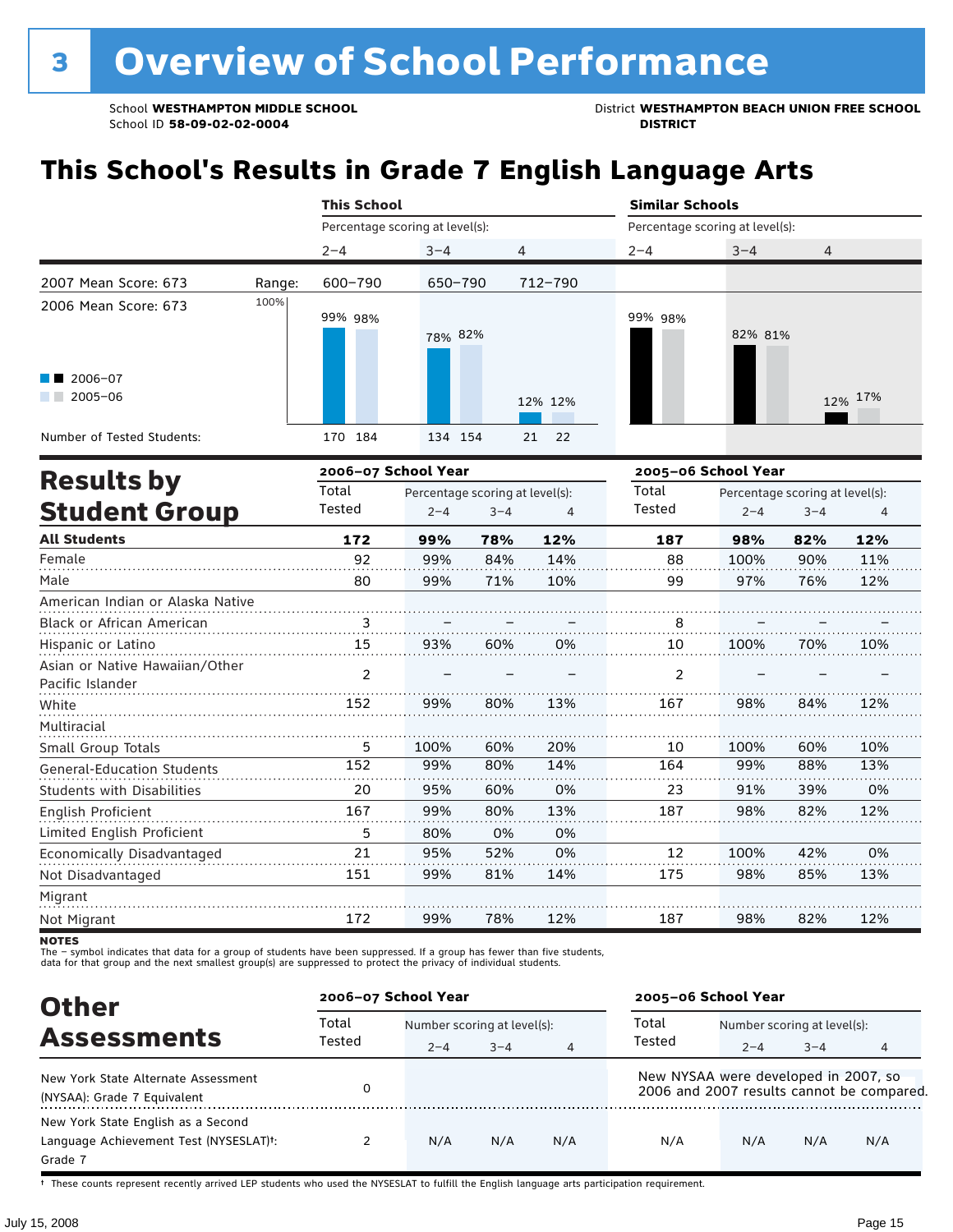School **WESTHAMPTON MIDDLE SCHOOL**<br>School ID 58-09-02-020404<br>DISTRICT DISTRICT

## **This School's Results in Grade 7 English Language Arts**

|                                  | <b>This School</b> |                                 |                                 |         |          |                                 | <b>Similar Schools</b>          |         |         |  |  |  |
|----------------------------------|--------------------|---------------------------------|---------------------------------|---------|----------|---------------------------------|---------------------------------|---------|---------|--|--|--|
|                                  |                    | Percentage scoring at level(s): |                                 |         |          | Percentage scoring at level(s): |                                 |         |         |  |  |  |
|                                  |                    | $2 - 4$                         | $3 - 4$                         | 4       |          | $2 - 4$                         | $3 - 4$                         | 4       |         |  |  |  |
| 2007 Mean Score: 673             | Range:             | 600-790                         | 650-790                         |         | 712-790  |                                 |                                 |         |         |  |  |  |
| 2006 Mean Score: 673             | 100%               | 99% 98%                         | 78% 82%                         |         |          | 99% 98%                         | 82% 81%                         |         |         |  |  |  |
| 2006-07<br>$2005 - 06$           |                    |                                 |                                 |         | 12% 12%  |                                 |                                 |         | 12% 17% |  |  |  |
| Number of Tested Students:       |                    | 170 184                         | 134 154                         |         | 22<br>21 |                                 |                                 |         |         |  |  |  |
|                                  |                    | 2006-07 School Year             |                                 |         |          | 2005-06 School Year             |                                 |         |         |  |  |  |
| <b>Results by</b>                |                    | Total                           | Percentage scoring at level(s): |         |          | Total                           | Percentage scoring at level(s): |         |         |  |  |  |
| <b>Student Group</b>             |                    | Tested                          | $2 - 4$                         | $3 - 4$ | 4        | Tested                          | $2 - 4$                         | $3 - 4$ | 4       |  |  |  |
| <b>All Students</b>              |                    | 172                             | 99%                             | 78%     | 12%      | 187                             | 98%                             | 82%     | 12%     |  |  |  |
| Female                           |                    | 92                              | 99%                             | 84%     | 14%      | 88                              | 100%                            | 90%     | 11%     |  |  |  |
| Male                             |                    | 80                              | 99%                             | 71%     | 10%      | 99                              | 97%                             | 76%     | 12%     |  |  |  |
| American Indian or Alaska Native |                    |                                 |                                 |         |          |                                 |                                 |         |         |  |  |  |
| <b>Black or African American</b> |                    | 3                               |                                 |         |          | 8                               |                                 |         |         |  |  |  |
| Hispanic or Latino               |                    | 15                              | 93%                             | 60%     | 0%       | 10                              | 100%                            | 70%     | 10%     |  |  |  |
| Asian or Native Hawaiian/Other   |                    | ົ                               |                                 |         |          | ົ                               |                                 |         |         |  |  |  |

| Asian or Native Hawaiian/Other<br>Pacific Islander |     |      |     |     |     |      |     |     |
|----------------------------------------------------|-----|------|-----|-----|-----|------|-----|-----|
| White                                              | 152 | 99%  | 80% | 13% | 167 | 98%  | 84% | 12% |
| Multiracial                                        |     |      |     |     |     |      |     |     |
| <b>Small Group Totals</b>                          | 5   | 100% | 60% | 20% | 10  | 100% | 60% | 10% |
| <b>General-Education Students</b>                  | 152 | 99%  | 80% | 14% | 164 | 99%  | 88% | 13% |
| Students with Disabilities                         | 20  | 95%  | 60% | 0%  | 23  | 91%  | 39% | 0%  |
| English Proficient                                 | 167 | 99%  | 80% | 13% | 187 | 98%  | 82% | 12% |
| Limited English Proficient                         | 5   | 80%  | 0%  | 0%  |     |      |     |     |
| Economically Disadvantaged                         | 21  | 95%  | 52% | 0%  | 12  | 100% | 42% | 0%  |
| Not Disadvantaged                                  | 151 | 99%  | 81% | 14% | 175 | 98%  | 85% | 13% |
| Migrant                                            |     |      |     |     |     |      |     |     |
| Not Migrant                                        | 172 | 99%  | 78% | 12% | 187 | 98%  | 82% | 12% |

**NOTES** 

The – symbol indicates that data for a group of students have been suppressed. If a group has fewer than five students,<br>data for that group and the next smallest group(s) are suppressed to protect the privacy of individual

| <b>Other</b>                                                                            | 2006-07 School Year |         |                             | 2005-06 School Year |                                      |                             |         |                                           |
|-----------------------------------------------------------------------------------------|---------------------|---------|-----------------------------|---------------------|--------------------------------------|-----------------------------|---------|-------------------------------------------|
|                                                                                         | Total               |         | Number scoring at level(s): |                     |                                      | Number scoring at level(s): |         |                                           |
| <b>Assessments</b>                                                                      | Tested              | $2 - 4$ | $3 - 4$                     | 4                   | Tested                               | $2 - 4$                     | $3 - 4$ |                                           |
| New York State Alternate Assessment<br>(NYSAA): Grade 7 Equivalent                      |                     |         |                             |                     | New NYSAA were developed in 2007, so |                             |         | 2006 and 2007 results cannot be compared. |
| New York State English as a Second<br>Language Achievement Test (NYSESLAT)t:<br>Grade 7 |                     | N/A     | N/A                         | N/A                 | N/A                                  | N/A                         | N/A     | N/A                                       |

† These counts represent recently arrived LEP students who used the NYSESLAT to fulfill the English language arts participation requirement.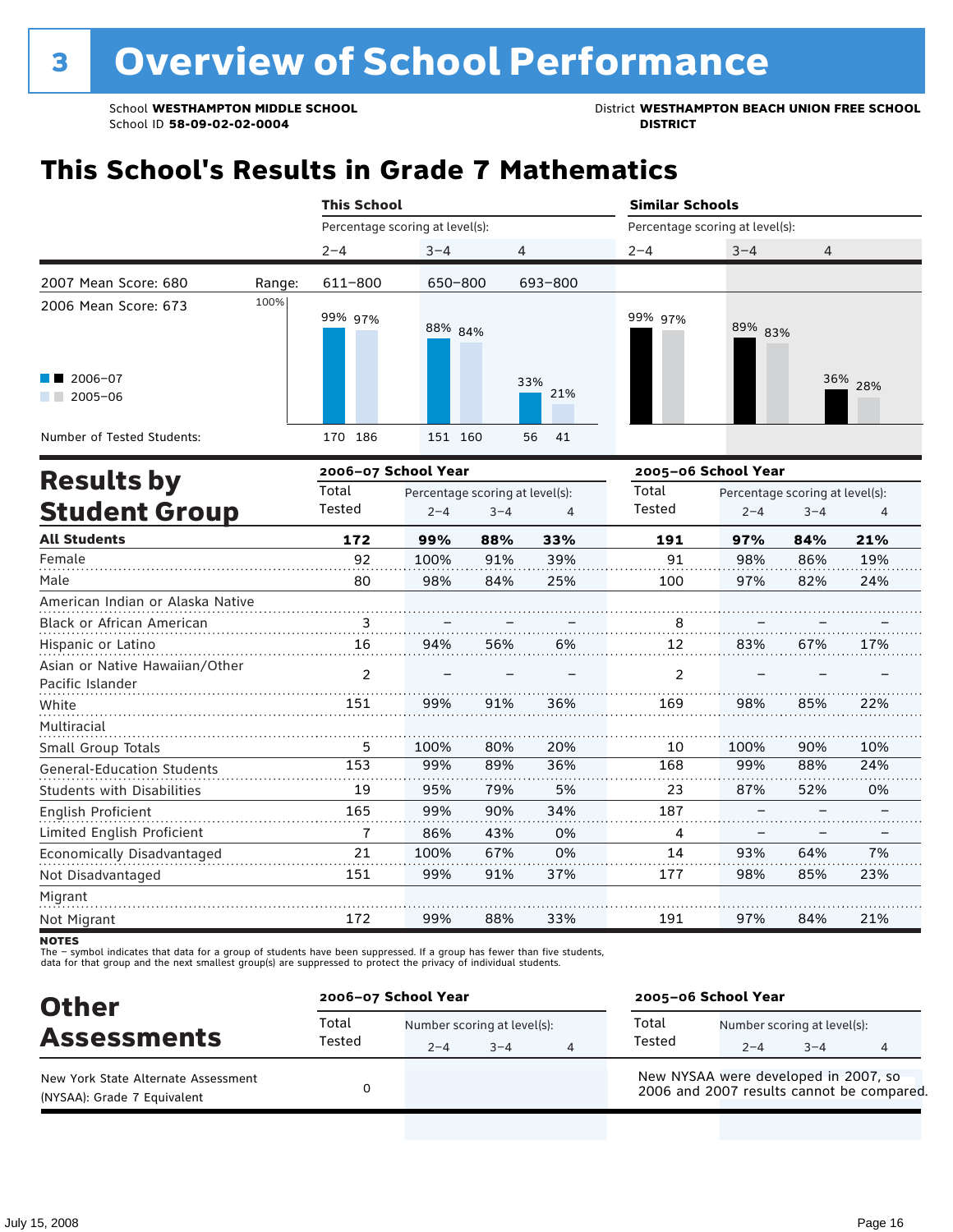School **WESTHAMPTON MIDDLE SCHOOL**<br>School ID 58-09-02-020404<br>DISTRICT DISTRICT

## **This School's Results in Grade 7 Mathematics**

|                                                    | <b>This School</b> |                                 |                                 |         |            |                                 | <b>Similar Schools</b> |                                 |         |  |  |  |
|----------------------------------------------------|--------------------|---------------------------------|---------------------------------|---------|------------|---------------------------------|------------------------|---------------------------------|---------|--|--|--|
|                                                    |                    | Percentage scoring at level(s): |                                 |         |            | Percentage scoring at level(s): |                        |                                 |         |  |  |  |
|                                                    |                    | $2 - 4$                         | $3 - 4$                         | 4       |            | $2 - 4$                         | $3 - 4$                | 4                               |         |  |  |  |
| 2007 Mean Score: 680                               | Range:             | 611-800                         | 650-800                         |         | 693-800    |                                 |                        |                                 |         |  |  |  |
| 2006 Mean Score: 673<br>$2006 - 07$<br>$2005 - 06$ | 100%               | 99% 97%                         | 88% 84%                         |         | 33%<br>21% | 99% 97%                         | 89% 83%                |                                 | 36% 28% |  |  |  |
| Number of Tested Students:                         |                    | 170 186                         | 151 160                         |         | 56<br>41   |                                 |                        |                                 |         |  |  |  |
|                                                    |                    | 2006-07 School Year             |                                 |         |            | 2005-06 School Year             |                        |                                 |         |  |  |  |
| <b>Results by</b>                                  |                    | Total                           | Percentage scoring at level(s): |         |            | Total                           |                        | Percentage scoring at level(s): |         |  |  |  |
| <b>Student Group</b>                               |                    | Tested                          | $2 - 4$                         | $3 - 4$ | 4          | Tested                          | $2 - 4$                | $3 - 4$                         | 4       |  |  |  |
| <b>All Students</b>                                |                    | 172                             | 99%                             | 88%     | 33%        | 191                             | 97%                    | 84%                             | 21%     |  |  |  |
| Female                                             |                    | 92                              | 100%                            | 91%     | 39%        | 91                              | 98%                    | 86%                             | 19%     |  |  |  |

| Male                                               | 80            | 98%  | 84% | 25% | 100            | 97%  | 82% | 24% |
|----------------------------------------------------|---------------|------|-----|-----|----------------|------|-----|-----|
| American Indian or Alaska Native                   |               |      |     |     |                |      |     |     |
| <b>Black or African American</b>                   |               |      |     |     | 8              |      |     |     |
| Hispanic or Latino                                 | 16            | 94%  | 56% | 6%  | 12             | 83%  | 67% | 17% |
| Asian or Native Hawaiian/Other<br>Pacific Islander | $\mathcal{P}$ |      |     |     | $\overline{2}$ |      |     |     |
| White                                              | 151           | 99%  | 91% | 36% | 169            | 98%  | 85% | 22% |
| Multiracial                                        |               |      |     |     |                |      |     |     |
| Small Group Totals                                 | 5             | 100% | 80% | 20% | 10             | 100% | 90% | 10% |
| <b>General-Education Students</b>                  | 153           | 99%  | 89% | 36% | 168            | 99%  | 88% | 24% |
| <b>Students with Disabilities</b>                  | 19            | 95%  | 79% | 5%  | 23             | 87%  | 52% | 0%  |
| English Proficient                                 | 165           | 99%  | 90% | 34% | 187            |      |     |     |
| Limited English Proficient                         | 7             | 86%  | 43% | 0%  | 4              |      |     |     |
| Economically Disadvantaged                         | 21            | 100% | 67% | 0%  | 14             | 93%  | 64% | 7%  |
| Not Disadvantaged                                  | 151           | 99%  | 91% | 37% | 177            | 98%  | 85% | 23% |
| Migrant                                            |               |      |     |     |                |      |     |     |
| Not Migrant                                        | 172           | 99%  | 88% | 33% | 191            | 97%  | 84% | 21% |

**NOTES** 

| <b>Other</b>                                                       | 2006-07 School Year |                                        |         |   | 2005-06 School Year                  |                                        |         |                                           |
|--------------------------------------------------------------------|---------------------|----------------------------------------|---------|---|--------------------------------------|----------------------------------------|---------|-------------------------------------------|
| <b>Assessments</b>                                                 | Total<br>Tested     | Number scoring at level(s):<br>$2 - 4$ | $3 - 4$ | 4 | Total<br>Tested                      | Number scoring at level(s):<br>$2 - 4$ | $3 - 4$ |                                           |
| New York State Alternate Assessment<br>(NYSAA): Grade 7 Equivalent |                     |                                        |         |   | New NYSAA were developed in 2007, so |                                        |         | 2006 and 2007 results cannot be compared. |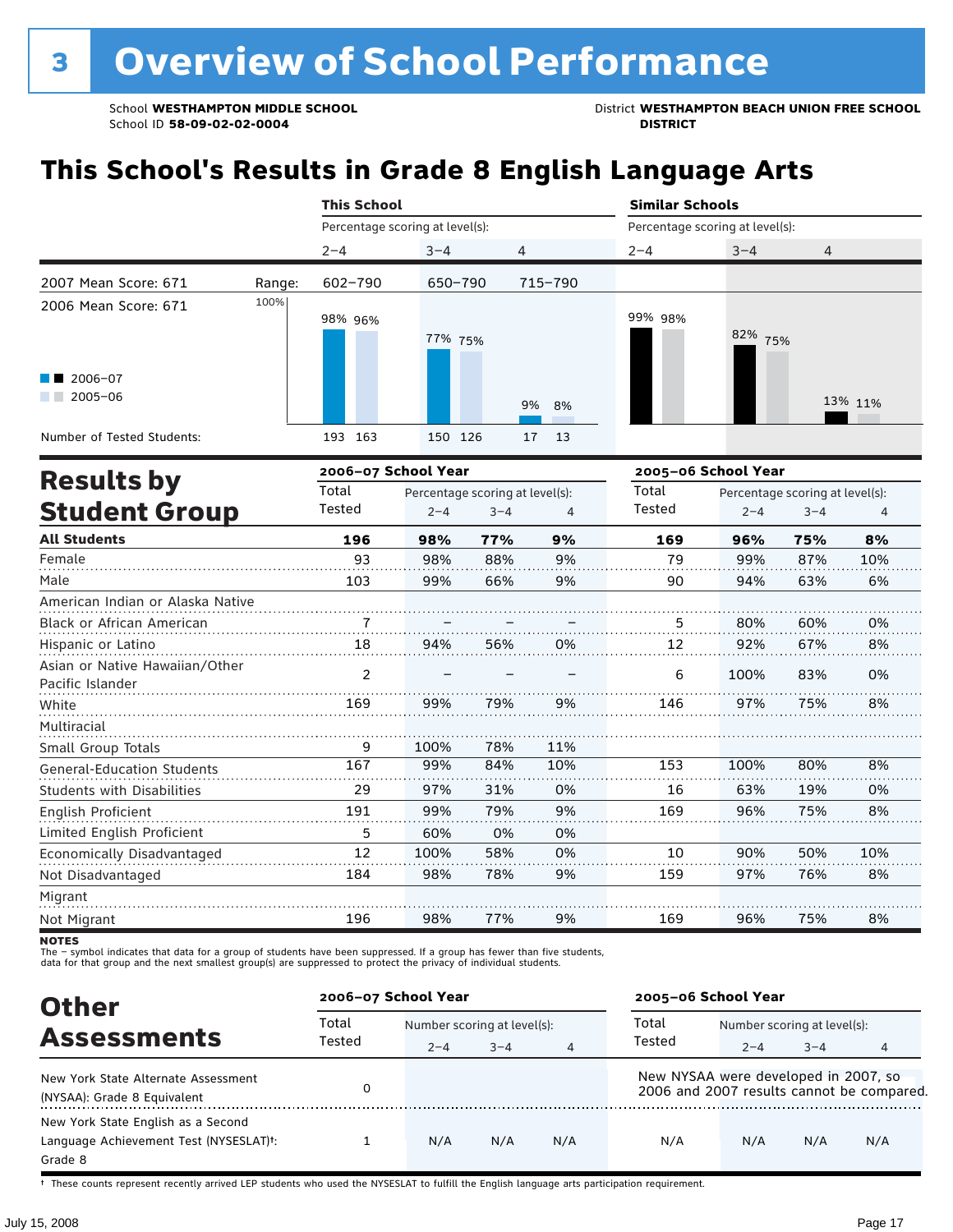School **WESTHAMPTON MIDDLE SCHOOL**<br>School ID 58-09-02-020404<br>District **District Politics** 

## **This School's Results in Grade 8 English Language Arts**

|                                                    |        | <b>This School</b>  |                                 |                                 |          |                                 | <b>Similar Schools</b> |                                 |         |  |
|----------------------------------------------------|--------|---------------------|---------------------------------|---------------------------------|----------|---------------------------------|------------------------|---------------------------------|---------|--|
|                                                    |        |                     | Percentage scoring at level(s): |                                 |          | Percentage scoring at level(s): |                        |                                 |         |  |
|                                                    |        | $2 - 4$             | $3 - 4$                         | 4                               |          | $2 - 4$                         | $3 - 4$                | 4                               |         |  |
| 2007 Mean Score: 671                               | Range: | $602 - 790$         | 650-790                         |                                 | 715-790  |                                 |                        |                                 |         |  |
| 2006 Mean Score: 671                               | 100%   | 98% 96%             | 77% 75%                         |                                 |          | 99% 98%                         | 82%<br>75%             |                                 |         |  |
| 2006-07<br>$2005 - 06$                             |        |                     |                                 |                                 | 9%<br>8% |                                 |                        |                                 | 13% 11% |  |
| Number of Tested Students:                         |        | 193 163             | 150 126                         |                                 | 17<br>13 |                                 |                        |                                 |         |  |
|                                                    |        | 2006-07 School Year |                                 |                                 |          | 2005-06 School Year             |                        |                                 |         |  |
| <b>Results by</b>                                  |        | Total               |                                 | Percentage scoring at level(s): |          | Total                           |                        | Percentage scoring at level(s): |         |  |
| <b>Student Group</b>                               |        | Tested              | $2 - 4$                         | $3 - 4$                         | 4        | Tested                          | $2 - 4$                | $3 - 4$                         | 4       |  |
| <b>All Students</b>                                |        | 196                 | 98%                             | 77%                             | 9%       | 169                             | 96%                    | 75%                             | 8%      |  |
| Female                                             |        | 93                  | 98%                             | 88%                             | 9%       | 79                              | 99%                    | 87%                             | 10%     |  |
| Male                                               |        | 103                 | 99%                             | 66%                             | 9%       | 90                              | 94%                    | 63%                             | 6%      |  |
| American Indian or Alaska Native                   |        |                     |                                 |                                 |          |                                 |                        |                                 |         |  |
| Black or African American                          |        | 7                   |                                 |                                 |          | 5.                              | 80%                    | 60%                             | 0%      |  |
| Hispanic or Latino                                 |        | 18                  | 94%                             | 56%                             | 0%       | 12                              | 92%                    | 67%                             | 8%      |  |
| Asian or Native Hawaiian/Other<br>Pacific Islander |        | $\mathfrak{p}$      |                                 | .                               |          | 6                               | 100%                   | 83%                             | 0%      |  |
| White                                              |        | 169                 | 99%                             | 79%                             | 9%       | 146                             | 97%                    | 75%                             | 8%      |  |
| Multiracial                                        |        |                     |                                 |                                 |          |                                 |                        |                                 |         |  |
| Small Group Totals                                 |        | 9                   | 100%                            | 78%                             | 11%      |                                 |                        |                                 |         |  |
| <b>General-Education Students</b>                  |        | 167                 | 99%                             | 84%                             | 10%      | 153                             | 100%                   | 80%                             | 8%      |  |
| <b>Students with Disabilities</b>                  |        | 29                  | 97%                             | 31%                             | 0%       | 16                              | 63%                    | 19%                             | 0%      |  |

| English Proficient<br>.    | -91 | 99%  | 79% | 9% | 169 | 96% | 75% | 8%  |
|----------------------------|-----|------|-----|----|-----|-----|-----|-----|
| Limited English Proficient |     | 60%  | 0%  | 0% |     |     |     |     |
| Economically Disadvantaged |     | 100% | 58% | 0% | 10  | 90% | 50% | 10% |
| Not Disadvantaged          | 184 | 98%  | 78% | 9% | 159 | 97% | 76% | 8%  |
| Migrant                    |     |      |     |    |     |     |     |     |
| Not Migrant                | 196 | 98%  | 77% | 9% | 169 | 96% | 75% | 8%  |

**NOTES** 

The – symbol indicates that data for a group of students have been suppressed. If a group has fewer than five students,<br>data for that group and the next smallest group(s) are suppressed to protect the privacy of individual

| <b>Other</b>                                                                            | 2006-07 School Year |                             |         | 2005-06 School Year |                                      |                             |         |                                           |
|-----------------------------------------------------------------------------------------|---------------------|-----------------------------|---------|---------------------|--------------------------------------|-----------------------------|---------|-------------------------------------------|
|                                                                                         | Total               | Number scoring at level(s): |         |                     | Total                                | Number scoring at level(s): |         |                                           |
| <b>Assessments</b>                                                                      | Tested              | $2 - 4$                     | $3 - 4$ | 4                   | Tested                               | $2 - 4$                     | $3 - 4$ | 4                                         |
| New York State Alternate Assessment<br>(NYSAA): Grade 8 Equivalent                      |                     |                             |         |                     | New NYSAA were developed in 2007, so |                             |         | 2006 and 2007 results cannot be compared. |
| New York State English as a Second<br>Language Achievement Test (NYSESLAT)t:<br>Grade 8 |                     | N/A                         | N/A     | N/A                 | N/A                                  | N/A                         | N/A     | N/A                                       |

† These counts represent recently arrived LEP students who used the NYSESLAT to fulfill the English language arts participation requirement.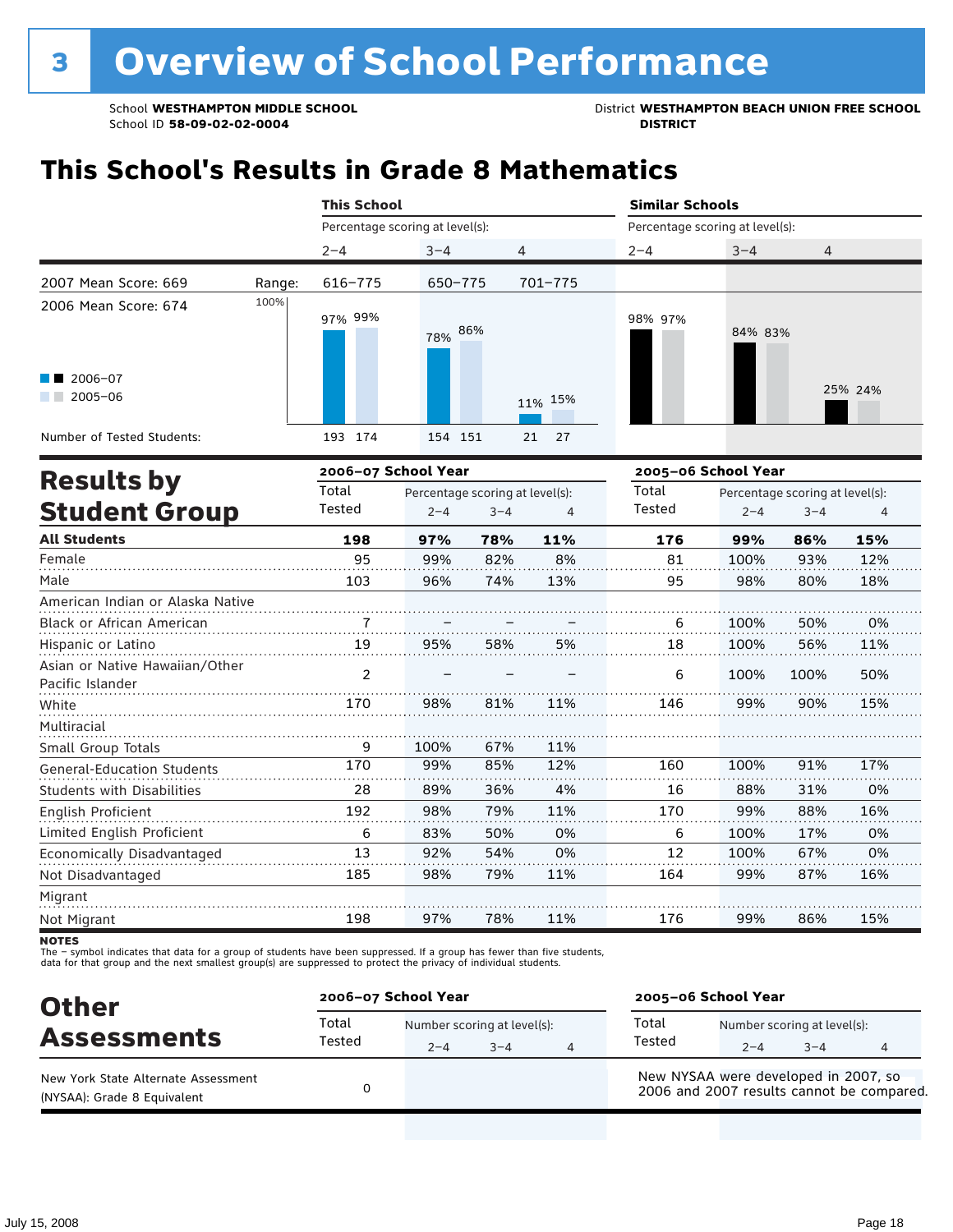School **WESTHAMPTON MIDDLE SCHOOL**<br>School ID 58-09-02-0204<br>DISTRICT<br>DISTRICT

## **This School's Results in Grade 8 Mathematics**

|                                       |        | <b>This School</b>              |                                 |         |          | <b>Similar Schools</b>          |                                 |         |         |
|---------------------------------------|--------|---------------------------------|---------------------------------|---------|----------|---------------------------------|---------------------------------|---------|---------|
|                                       |        | Percentage scoring at level(s): |                                 |         |          | Percentage scoring at level(s): |                                 |         |         |
|                                       |        | $2 - 4$                         | $3 - 4$                         | 4       |          | $2 - 4$                         | $3 - 4$                         | 4       |         |
| 2007 Mean Score: 669                  | Range: | $616 - 775$                     | 650-775                         |         | 701-775  |                                 |                                 |         |         |
| 2006 Mean Score: 674                  | 100%   | 97% 99%                         | 78%                             | 86%     |          | 98% 97%                         | 84% 83%                         |         |         |
| $\blacksquare$ 2006-07<br>$2005 - 06$ |        |                                 |                                 |         | 11% 15%  |                                 |                                 |         | 25% 24% |
| Number of Tested Students:            |        | 193 174                         | 154 151                         |         | 27<br>21 |                                 |                                 |         |         |
|                                       |        | 2006-07 School Year             |                                 |         |          | 2005-06 School Year             |                                 |         |         |
| <b>Results by</b>                     |        | Total                           | Percentage scoring at level(s): |         |          | Total                           | Percentage scoring at level(s): |         |         |
| <b>Student Group</b>                  |        | Tested                          | $2 - 4$                         | $3 - 4$ | 4        | Tested                          | $2 - 4$                         | $3 - 4$ | 4       |
| <b>All Students</b>                   |        | 198                             | 97%                             | 78%     | 11%      | 176                             | 99%                             | 86%     | 15%     |
| Female                                |        | 95                              | 99%                             | 82%     | 8%       | 81                              | 100%                            | 93%     | 12%     |
| Male                                  |        | 103                             | 96%                             | 74%     | 13%      | 95                              | 98%                             | 80%     | 18%     |
| American Indian or Alaska Native      |        |                                 |                                 |         |          |                                 |                                 |         |         |
| <b>Black or African American</b>      |        | $\overline{7}$                  |                                 |         |          | 6                               | 100%                            | 50%     | 0%      |
| Hispanic or Latino                    |        | 19                              | 95%                             | 58%     | 5%       | 18                              | 100%                            | 56%     | 11%     |
| Asian or Native Hawaiian/Other        |        | $\overline{2}$                  |                                 |         |          | 6                               | 100%                            | 100%    | 50%     |

| Asian or ivative riawallari/Other |     |      |     |     | 6   | 100% | 100% | 50% |
|-----------------------------------|-----|------|-----|-----|-----|------|------|-----|
| Pacific Islander                  |     |      |     |     |     |      |      |     |
| White                             | 170 | 98%  | 81% | 11% | 146 | 99%  | 90%  | 15% |
| Multiracial                       |     |      |     |     |     |      |      |     |
| Small Group Totals                | 9   | 100% | 67% | 11% |     |      |      |     |
| <b>General-Education Students</b> | 170 | 99%  | 85% | 12% | 160 | 100% | 91%  | 17% |
| <b>Students with Disabilities</b> | 28  | 89%  | 36% | 4%  | 16  | 88%  | 31%  | 0%  |
| English Proficient                | 192 | 98%  | 79% | 11% | 170 | 99%  | 88%  | 16% |
| Limited English Proficient        | 6   | 83%  | 50% | 0%  | 6   | 100% | 17%  | 0%  |
| Economically Disadvantaged        | 13  | 92%  | 54% | 0%  | 12  | 100% | 67%  | 0%  |
| Not Disadvantaged                 | 185 | 98%  | 79% | 11% | 164 | 99%  | 87%  | 16% |
| Migrant                           |     |      |     |     |     |      |      |     |
| Not Migrant                       | 198 | 97%  | 78% | 11% | 176 | 99%  | 86%  | 15% |

**NOTES** 

| <b>Other</b>                                                       | 2006-07 School Year |         |                                     |   | 2005-06 School Year                  |         |                                        |                                           |  |
|--------------------------------------------------------------------|---------------------|---------|-------------------------------------|---|--------------------------------------|---------|----------------------------------------|-------------------------------------------|--|
| <b>Assessments</b>                                                 | Total<br>Tested     | $2 - 4$ | Number scoring at level(s):<br>$-4$ | 4 | Total<br>Tested                      | $2 - 4$ | Number scoring at level(s):<br>$3 - 4$ |                                           |  |
| New York State Alternate Assessment<br>(NYSAA): Grade 8 Equivalent |                     |         |                                     |   | New NYSAA were developed in 2007, so |         |                                        | 2006 and 2007 results cannot be compared. |  |